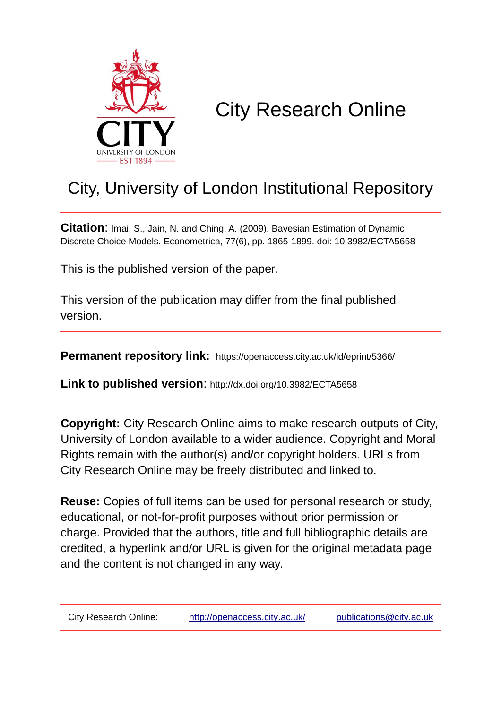

# City Research Online

## City, University of London Institutional Repository

**Citation**: Imai, S., Jain, N. and Ching, A. (2009). Bayesian Estimation of Dynamic Discrete Choice Models. Econometrica, 77(6), pp. 1865-1899. doi: 10.3982/ECTA5658

This is the published version of the paper.

This version of the publication may differ from the final published version.

**Permanent repository link:** https://openaccess.city.ac.uk/id/eprint/5366/

**Link to published version**: http://dx.doi.org/10.3982/ECTA5658

**Copyright:** City Research Online aims to make research outputs of City, University of London available to a wider audience. Copyright and Moral Rights remain with the author(s) and/or copyright holders. URLs from City Research Online may be freely distributed and linked to.

**Reuse:** Copies of full items can be used for personal research or study, educational, or not-for-profit purposes without prior permission or charge. Provided that the authors, title and full bibliographic details are credited, a hyperlink and/or URL is given for the original metadata page and the content is not changed in any way.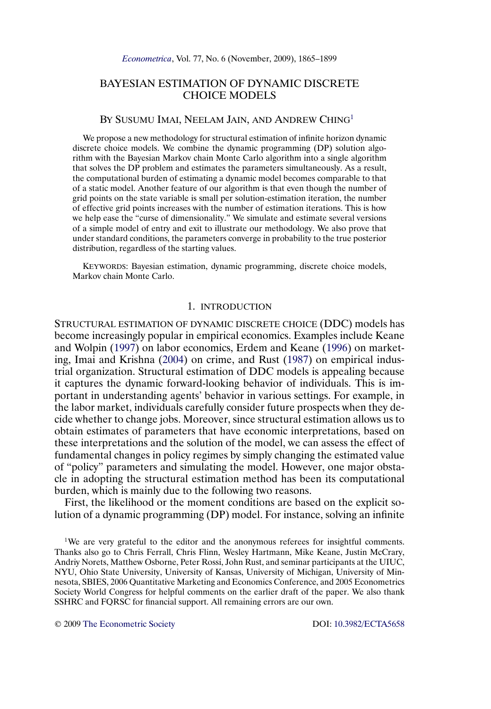## <span id="page-1-0"></span>BAYESIAN ESTIMATION OF DYNAMIC DISCRETE CHOICE MODELS

## BY SUSUMU IMAI, NEELAM JAIN, AND ANDREW CHING<sup>1</sup>

We propose a new methodology for structural estimation of infinite horizon dynamic discrete choice models. We combine the dynamic programming (DP) solution algorithm with the Bayesian Markov chain Monte Carlo algorithm into a single algorithm that solves the DP problem and estimates the parameters simultaneously. As a result, the computational burden of estimating a dynamic model becomes comparable to that of a static model. Another feature of our algorithm is that even though the number of grid points on the state variable is small per solution-estimation iteration, the number of effective grid points increases with the number of estimation iterations. This is how we help ease the "curse of dimensionality." We simulate and estimate several versions of a simple model of entry and exit to illustrate our methodology. We also prove that under standard conditions, the parameters converge in probability to the true posterior distribution, regardless of the starting values.

KEYWORDS: Bayesian estimation, dynamic programming, discrete choice models, Markov chain Monte Carlo.

## 1. INTRODUCTION

STRUCTURAL ESTIMATION OF DYNAMIC DISCRETE CHOICE (DDC) models has become increasingly popular in empirical economics. Examples include Keane and Wolpin [\(1997\)](#page-34-0) on labor economics, Erdem and Keane [\(1996\)](#page-34-0) on marketing, Imai and Krishna [\(2004\)](#page-34-0) on crime, and Rust [\(1987\)](#page-35-0) on empirical industrial organization. Structural estimation of DDC models is appealing because it captures the dynamic forward-looking behavior of individuals. This is important in understanding agents' behavior in various settings. For example, in the labor market, individuals carefully consider future prospects when they decide whether to change jobs. Moreover, since structural estimation allows us to obtain estimates of parameters that have economic interpretations, based on these interpretations and the solution of the model, we can assess the effect of fundamental changes in policy regimes by simply changing the estimated value of "policy" parameters and simulating the model. However, one major obstacle in adopting the structural estimation method has been its computational burden, which is mainly due to the following two reasons.

First, the likelihood or the moment conditions are based on the explicit solution of a dynamic programming (DP) model. For instance, solving an infinite

<sup>1</sup>We are very grateful to the editor and the anonymous referees for insightful comments. Thanks also go to Chris Ferrall, Chris Flinn, Wesley Hartmann, Mike Keane, Justin McCrary, Andriy Norets, Matthew Osborne, Peter Rossi, John Rust, and seminar participants at the UIUC, NYU, Ohio State University, University of Kansas, University of Michigan, University of Minnesota, SBIES, 2006 Quantitative Marketing and Economics Conference, and 2005 Econometrics Society World Congress for helpful comments on the earlier draft of the paper. We also thank SSHRC and FQRSC for financial support. All remaining errors are our own.

© 2009 [The Econometric Society](http://www.econometricsociety.org/) DOI: [10.3982/ECTA5658](http://dx.doi.org/10.3982/ECTA5658)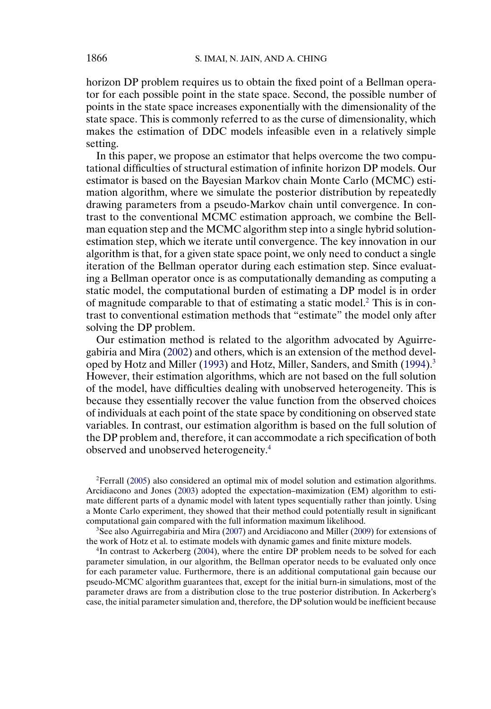<span id="page-2-0"></span>horizon DP problem requires us to obtain the fixed point of a Bellman operator for each possible point in the state space. Second, the possible number of points in the state space increases exponentially with the dimensionality of the state space. This is commonly referred to as the curse of dimensionality, which makes the estimation of DDC models infeasible even in a relatively simple setting.

In this paper, we propose an estimator that helps overcome the two computational difficulties of structural estimation of infinite horizon DP models. Our estimator is based on the Bayesian Markov chain Monte Carlo (MCMC) estimation algorithm, where we simulate the posterior distribution by repeatedly drawing parameters from a pseudo-Markov chain until convergence. In contrast to the conventional MCMC estimation approach, we combine the Bellman equation step and the MCMC algorithm step into a single hybrid solutionestimation step, which we iterate until convergence. The key innovation in our algorithm is that, for a given state space point, we only need to conduct a single iteration of the Bellman operator during each estimation step. Since evaluating a Bellman operator once is as computationally demanding as computing a static model, the computational burden of estimating a DP model is in order of magnitude comparable to that of estimating a static model.2 This is in contrast to conventional estimation methods that "estimate" the model only after solving the DP problem.

Our estimation method is related to the algorithm advocated by Aguirregabiria and Mira [\(2002\)](#page-33-0) and others, which is an extension of the method devel-oped by Hotz and Miller [\(1993\)](#page-34-0) and Hotz, Miller, Sanders, and Smith [\(1994\)](#page-34-0).<sup>3</sup> However, their estimation algorithms, which are not based on the full solution of the model, have difficulties dealing with unobserved heterogeneity. This is because they essentially recover the value function from the observed choices of individuals at each point of the state space by conditioning on observed state variables. In contrast, our estimation algorithm is based on the full solution of the DP problem and, therefore, it can accommodate a rich specification of both observed and unobserved heterogeneity.4

2Ferrall [\(2005\)](#page-34-0) also considered an optimal mix of model solution and estimation algorithms. Arcidiacono and Jones [\(2003\)](#page-33-0) adopted the expectation–maximization (EM) algorithm to estimate different parts of a dynamic model with latent types sequentially rather than jointly. Using a Monte Carlo experiment, they showed that their method could potentially result in significant computational gain compared with the full information maximum likelihood.

<sup>3</sup>See also Aguirregabiria and Mira [\(2007\)](#page-33-0) and Arcidiacono and Miller [\(2009\)](#page-33-0) for extensions of the work of Hotz et al. to estimate models with dynamic games and finite mixture models.

<sup>4</sup>In contrast to Ackerberg [\(2004\)](#page-33-0), where the entire DP problem needs to be solved for each parameter simulation, in our algorithm, the Bellman operator needs to be evaluated only once for each parameter value. Furthermore, there is an additional computational gain because our pseudo-MCMC algorithm guarantees that, except for the initial burn-in simulations, most of the parameter draws are from a distribution close to the true posterior distribution. In Ackerberg's case, the initial parameter simulation and, therefore, the DP solution would be inefficient because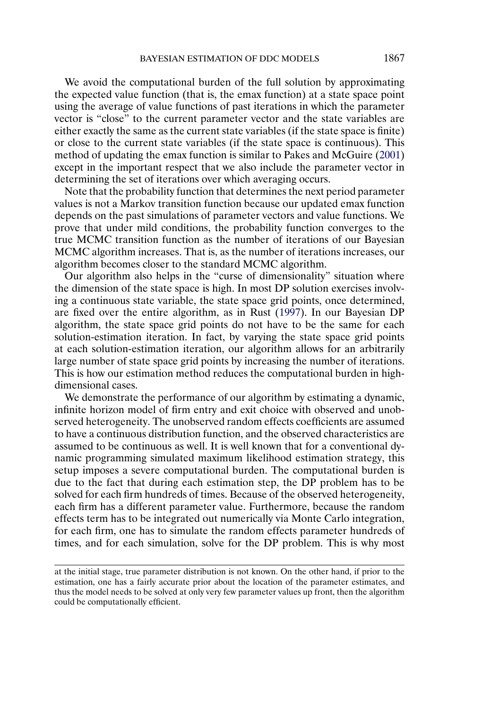<span id="page-3-0"></span>We avoid the computational burden of the full solution by approximating the expected value function (that is, the emax function) at a state space point using the average of value functions of past iterations in which the parameter vector is "close" to the current parameter vector and the state variables are either exactly the same as the current state variables (if the state space is finite) or close to the current state variables (if the state space is continuous). This method of updating the emax function is similar to Pakes and McGuire [\(2001\)](#page-35-0) except in the important respect that we also include the parameter vector in determining the set of iterations over which averaging occurs.

Note that the probability function that determines the next period parameter values is not a Markov transition function because our updated emax function depends on the past simulations of parameter vectors and value functions. We prove that under mild conditions, the probability function converges to the true MCMC transition function as the number of iterations of our Bayesian MCMC algorithm increases. That is, as the number of iterations increases, our algorithm becomes closer to the standard MCMC algorithm.

Our algorithm also helps in the "curse of dimensionality" situation where the dimension of the state space is high. In most DP solution exercises involving a continuous state variable, the state space grid points, once determined, are fixed over the entire algorithm, as in Rust [\(1997\)](#page-35-0). In our Bayesian DP algorithm, the state space grid points do not have to be the same for each solution-estimation iteration. In fact, by varying the state space grid points at each solution-estimation iteration, our algorithm allows for an arbitrarily large number of state space grid points by increasing the number of iterations. This is how our estimation method reduces the computational burden in highdimensional cases.

We demonstrate the performance of our algorithm by estimating a dynamic, infinite horizon model of firm entry and exit choice with observed and unobserved heterogeneity. The unobserved random effects coefficients are assumed to have a continuous distribution function, and the observed characteristics are assumed to be continuous as well. It is well known that for a conventional dynamic programming simulated maximum likelihood estimation strategy, this setup imposes a severe computational burden. The computational burden is due to the fact that during each estimation step, the DP problem has to be solved for each firm hundreds of times. Because of the observed heterogeneity, each firm has a different parameter value. Furthermore, because the random effects term has to be integrated out numerically via Monte Carlo integration, for each firm, one has to simulate the random effects parameter hundreds of times, and for each simulation, solve for the DP problem. This is why most

at the initial stage, true parameter distribution is not known. On the other hand, if prior to the estimation, one has a fairly accurate prior about the location of the parameter estimates, and thus the model needs to be solved at only very few parameter values up front, then the algorithm could be computationally efficient.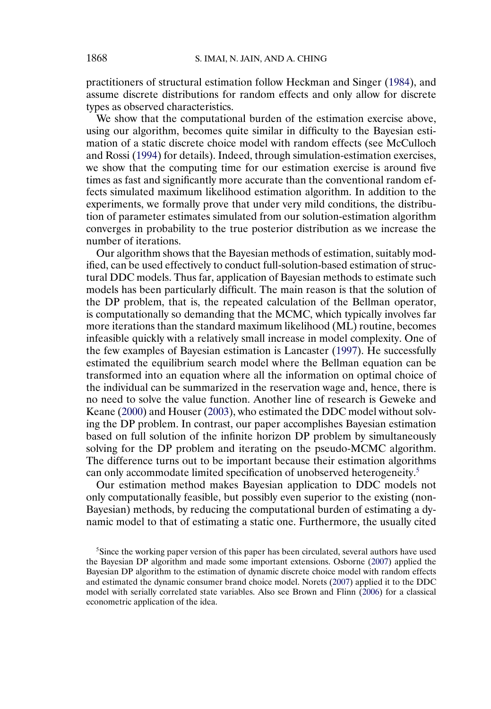<span id="page-4-0"></span>practitioners of structural estimation follow Heckman and Singer [\(1984\)](#page-34-0), and assume discrete distributions for random effects and only allow for discrete types as observed characteristics.

We show that the computational burden of the estimation exercise above, using our algorithm, becomes quite similar in difficulty to the Bayesian estimation of a static discrete choice model with random effects (see McCulloch and Rossi [\(1994\)](#page-34-0) for details). Indeed, through simulation-estimation exercises, we show that the computing time for our estimation exercise is around five times as fast and significantly more accurate than the conventional random effects simulated maximum likelihood estimation algorithm. In addition to the experiments, we formally prove that under very mild conditions, the distribution of parameter estimates simulated from our solution-estimation algorithm converges in probability to the true posterior distribution as we increase the number of iterations.

Our algorithm shows that the Bayesian methods of estimation, suitably modified, can be used effectively to conduct full-solution-based estimation of structural DDC models. Thus far, application of Bayesian methods to estimate such models has been particularly difficult. The main reason is that the solution of the DP problem, that is, the repeated calculation of the Bellman operator, is computationally so demanding that the MCMC, which typically involves far more iterations than the standard maximum likelihood (ML) routine, becomes infeasible quickly with a relatively small increase in model complexity. One of the few examples of Bayesian estimation is Lancaster [\(1997\)](#page-34-0). He successfully estimated the equilibrium search model where the Bellman equation can be transformed into an equation where all the information on optimal choice of the individual can be summarized in the reservation wage and, hence, there is no need to solve the value function. Another line of research is Geweke and Keane [\(2000\)](#page-34-0) and Houser [\(2003\)](#page-34-0), who estimated the DDC model without solving the DP problem. In contrast, our paper accomplishes Bayesian estimation based on full solution of the infinite horizon DP problem by simultaneously solving for the DP problem and iterating on the pseudo-MCMC algorithm. The difference turns out to be important because their estimation algorithms can only accommodate limited specification of unobserved heterogeneity.5

Our estimation method makes Bayesian application to DDC models not only computationally feasible, but possibly even superior to the existing (non-Bayesian) methods, by reducing the computational burden of estimating a dynamic model to that of estimating a static one. Furthermore, the usually cited

<sup>5</sup>Since the working paper version of this paper has been circulated, several authors have used the Bayesian DP algorithm and made some important extensions. Osborne [\(2007\)](#page-35-0) applied the Bayesian DP algorithm to the estimation of dynamic discrete choice model with random effects and estimated the dynamic consumer brand choice model. Norets [\(2007\)](#page-34-0) applied it to the DDC model with serially correlated state variables. Also see Brown and Flinn [\(2006\)](#page-34-0) for a classical econometric application of the idea.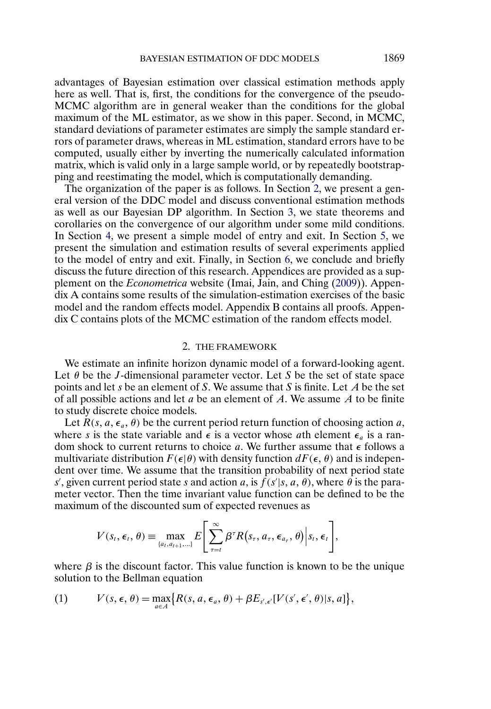<span id="page-5-0"></span>advantages of Bayesian estimation over classical estimation methods apply here as well. That is, first, the conditions for the convergence of the pseudo-MCMC algorithm are in general weaker than the conditions for the global maximum of the ML estimator, as we show in this paper. Second, in MCMC, standard deviations of parameter estimates are simply the sample standard errors of parameter draws, whereas in ML estimation, standard errors have to be computed, usually either by inverting the numerically calculated information matrix, which is valid only in a large sample world, or by repeatedly bootstrapping and reestimating the model, which is computationally demanding.

The organization of the paper is as follows. In Section 2, we present a general version of the DDC model and discuss conventional estimation methods as well as our Bayesian DP algorithm. In Section [3,](#page-13-0) we state theorems and corollaries on the convergence of our algorithm under some mild conditions. In Section [4,](#page-20-0) we present a simple model of entry and exit. In Section [5,](#page-27-0) we present the simulation and estimation results of several experiments applied to the model of entry and exit. Finally, in Section [6,](#page-32-0) we conclude and briefly discuss the future direction of this research. Appendices are provided as a supplement on the *Econometrica* website (Imai, Jain, and Ching [\(2009\)](#page-34-0)). Appendix A contains some results of the simulation-estimation exercises of the basic model and the random effects model. Appendix B contains all proofs. Appendix C contains plots of the MCMC estimation of the random effects model.

#### 2. THE FRAMEWORK

We estimate an infinite horizon dynamic model of a forward-looking agent. Let  $\theta$  be the *J*-dimensional parameter vector. Let *S* be the set of state space points and let s be an element of S. We assume that S is finite. Let  $A$  be the set of all possible actions and let  $a$  be an element of  $A$ . We assume  $A$  to be finite to study discrete choice models.

Let  $R(s, a, \epsilon_a, \theta)$  be the current period return function of choosing action a, where s is the state variable and  $\epsilon$  is a vector whose ath element  $\epsilon_a$  is a random shock to current returns to choice a. We further assume that  $\epsilon$  follows a multivariate distribution  $F(\epsilon|\theta)$  with density function  $dF(\epsilon, \theta)$  and is independent over time. We assume that the transition probability of next period state s', given current period state s and action a, is  $\bar{f}(s'|s, a, \theta)$ , where  $\bar{\theta}$  is the parameter vector. Then the time invariant value function can be defined to be the maximum of the discounted sum of expected revenues as

$$
V(s_t, \epsilon_t, \theta) \equiv \max_{\{a_t, a_{t+1}, \ldots\}} E\left[\sum_{\tau=t}^{\infty} \beta^{\tau} R(s_{\tau}, a_{\tau}, \epsilon_{a_{\tau}}, \theta)\Big|s_t, \epsilon_t\right],
$$

where  $\beta$  is the discount factor. This value function is known to be the unique solution to the Bellman equation

(1) 
$$
V(s,\epsilon,\theta) = \max_{a\in A} \{R(s,a,\epsilon_a,\theta) + \beta E_{s',\epsilon'}[V(s',\epsilon',\theta)|s,a]\},
$$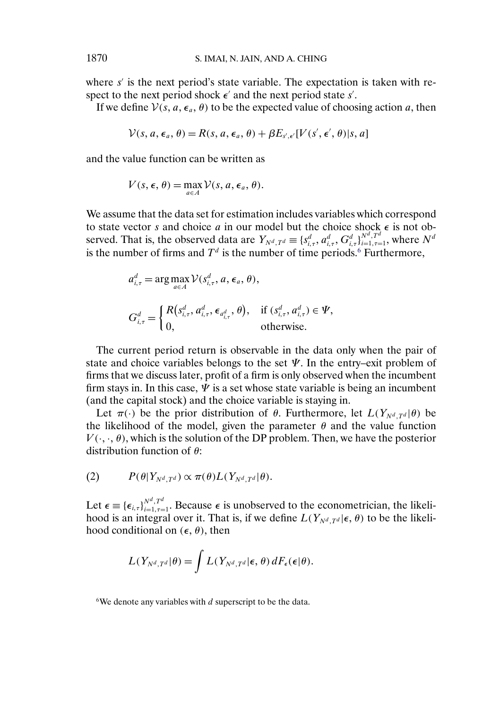<span id="page-6-0"></span>where  $s'$  is the next period's state variable. The expectation is taken with respect to the next period shock  $\epsilon'$  and the next period state s'.

If we define  $V(s, a, \epsilon_a, \theta)$  to be the expected value of choosing action a, then

$$
\mathcal{V}(s, a, \epsilon_a, \theta) = R(s, a, \epsilon_a, \theta) + \beta E_{s', \epsilon'}[V(s', \epsilon', \theta)|s, a]
$$

and the value function can be written as

$$
V(s, \epsilon, \theta) = \max_{a \in A} \mathcal{V}(s, a, \epsilon_a, \theta).
$$

We assume that the data set for estimation includes variables which correspond to state vector s and choice a in our model but the choice shock  $\epsilon$  is not observed. That is, the observed data are  $Y_{N^d, T^d} \equiv \{s_{i,\tau}^d, a_{i,\tau}^d, G_{i,\tau}^d\}_{i=1,\tau=1}^{N^d, T^d}$ , where  $N^d$ is the number of firms and  $T<sup>d</sup>$  is the number of time periods.<sup>6</sup> Furthermore,

$$
a_{i,\tau}^d = \arg \max_{a \in A} \mathcal{V}(s_{i,\tau}^d, a, \epsilon_a, \theta),
$$
  
\n
$$
G_{i,\tau}^d = \begin{cases} R(s_{i,\tau}^d, a_{i,\tau}^d, \epsilon_{a_{i,\tau}^d}, \theta), & \text{if } (s_{i,\tau}^d, a_{i,\tau}^d) \in \Psi, \\ 0, & \text{otherwise.} \end{cases}
$$

The current period return is observable in the data only when the pair of state and choice variables belongs to the set  $\Psi$ . In the entry–exit problem of firms that we discuss later, profit of a firm is only observed when the incumbent firm stays in. In this case,  $\Psi$  is a set whose state variable is being an incumbent (and the capital stock) and the choice variable is staying in.

Let  $\pi(\cdot)$  be the prior distribution of  $\theta$ . Furthermore, let  $L(Y_{N^d,T^d}|\theta)$  be the likelihood of the model, given the parameter  $\theta$  and the value function  $V(\cdot, \cdot, \theta)$ , which is the solution of the DP problem. Then, we have the posterior distribution function of θ:

$$
(2) \tP(\theta|Y_{N^d,T^d}) \propto \pi(\theta)L(Y_{N^d,T^d}|\theta).
$$

Let  $\epsilon = {\{\epsilon_{i,\tau}\}}_{i=1,\tau=1}^{N^d,T^d}$ . Because  $\epsilon$  is unobserved to the econometrician, the likelihood is an integral over it. That is, if we define  $L(Y_{N<sup>d</sup>,T<sup>d</sup>}|\epsilon, \theta)$  to be the likelihood conditional on ( $\epsilon$ ,  $\theta$ ), then

$$
L(Y_{N^d,T^d}|\theta) = \int L(Y_{N^d,T^d}|\epsilon,\theta) dF_{\epsilon}(\epsilon|\theta).
$$

<sup>6</sup>We denote any variables with  $d$  superscript to be the data.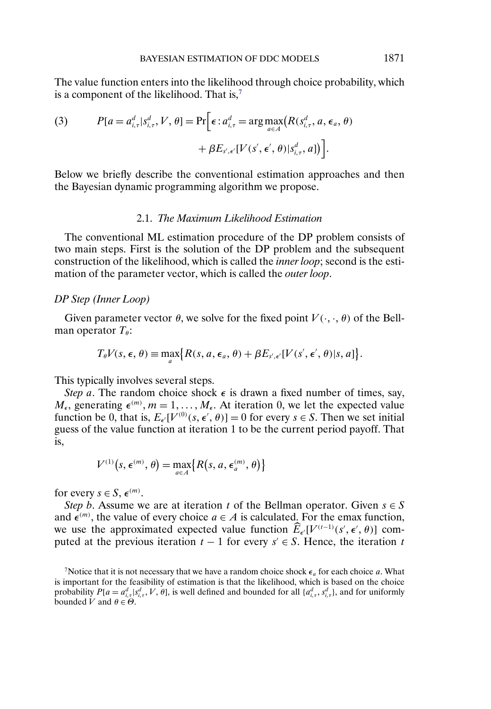<span id="page-7-0"></span>The value function enters into the likelihood through choice probability, which is a component of the likelihood. That is, $<sup>7</sup>$ </sup>

(3) 
$$
P[a = a_{i,\tau}^d | s_{i,\tau}^d, V, \theta] = \Pr \Big[ \epsilon : a_{i,\tau}^d = \arg \max_{a \in A} \big( R(s_{i,\tau}^d, a, \epsilon_a, \theta) + \beta E_{s',\epsilon'} [V(s', \epsilon', \theta) | s_{i,\tau}^d, a] \big) \Big].
$$

Below we briefly describe the conventional estimation approaches and then the Bayesian dynamic programming algorithm we propose.

## 2.1. *The Maximum Likelihood Estimation*

The conventional ML estimation procedure of the DP problem consists of two main steps. First is the solution of the DP problem and the subsequent construction of the likelihood, which is called the *inner loop*; second is the estimation of the parameter vector, which is called the *outer loop*.

## *DP Step (Inner Loop)*

Given parameter vector  $\theta$ , we solve for the fixed point  $V(\cdot, \cdot, \theta)$  of the Bellman operator  $T_{\theta}$ :

$$
T_{\theta}V(s,\epsilon,\theta) \equiv \max_{a} \{ R(s,a,\epsilon_{a},\theta) + \beta E_{s',\epsilon'}[V(s',\epsilon',\theta)|s,a] \}.
$$

This typically involves several steps.

*Step a*. The random choice shock  $\epsilon$  is drawn a fixed number of times, say,  $M_{\epsilon}$ , generating  $\epsilon^{(m)}$ ,  $m = 1, \ldots, M_{\epsilon}$ . At iteration 0, we let the expected value function be 0, that is,  $E_{\epsilon'}[V^{(0)}(s, \epsilon', \theta)] = 0$  for every  $s \in S$ . Then we set initial guess of the value function at iteration 1 to be the current period payoff. That is,

$$
V^{(1)}(s, \epsilon^{(m)}, \theta) = \max_{a \in A} \{ R(s, a, \epsilon_a^{(m)}, \theta) \}
$$

for every  $s \in S$ ,  $\epsilon^{(m)}$ .

*Step b.* Assume we are at iteration t of the Bellman operator. Given  $s \in S$ and  $\epsilon^{(m)}$ , the value of every choice  $a \in A$  is calculated. For the emax function, we use the approximated expected value function  $\widehat{E}_{\epsilon}[V^{(t-1)}(s', \epsilon', \theta)]$  computed at the previous iteration  $t - 1$  for every  $s' \in S$ . Hence, the iteration t

<sup>&</sup>lt;sup>7</sup>Notice that it is not necessary that we have a random choice shock  $\epsilon_a$  for each choice a. What is important for the feasibility of estimation is that the likelihood, which is based on the choice probability  $P[a = a_{i,\tau}^d | s_{i,\tau}^d, V, \theta]$ , is well defined and bounded for all  $\{a_{i,\tau}^d, s_{i,\tau}^d\}$ , and for uniformly bounded V and  $\theta \in \Theta$ .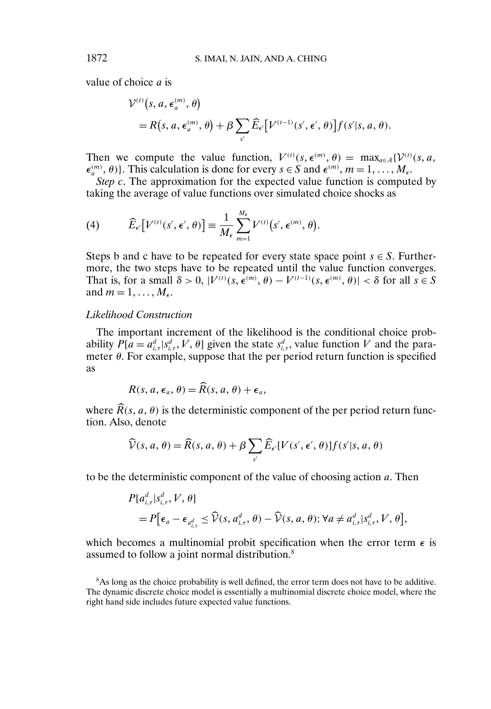<span id="page-8-0"></span>value of choice a is

$$
\mathcal{V}^{(t)}(s, a, \epsilon_a^{(m)}, \theta)
$$
  
=  $R(s, a, \epsilon_a^{(m)}, \theta) + \beta \sum_{s'} \widehat{E}_{\epsilon'}[V^{(t-1)}(s', \epsilon', \theta)]f(s'|s, a, \theta).$ 

Then we compute the value function,  $V^{(t)}(s, \epsilon^{(m)}, \theta) = \max_{a \in A} {\{\mathcal{V}^{(t)}(s, a, \theta)\}}$  $\epsilon_a^{(m)}, \theta$ )}. This calculation is done for every  $s \in S$  and  $\epsilon^{(m)}, m = 1, \ldots, M_{\epsilon}$ .

*Step c*. The approximation for the expected value function is computed by taking the average of value functions over simulated choice shocks as

(4) 
$$
\widehat{E}_{\epsilon'}[V^{(t)}(s', \epsilon', \theta)] \equiv \frac{1}{M_{\epsilon}} \sum_{m=1}^{M_{\epsilon}} V^{(t)}(s', \epsilon^{(m)}, \theta).
$$

Steps b and c have to be repeated for every state space point  $s \in S$ . Furthermore, the two steps have to be repeated until the value function converges. That is, for a small  $\delta > 0$ ,  $|V^{(t)}(s, \bar{\epsilon}^{(m)}, \theta) - V^{(t-1)}(s, \epsilon^{(m)}, \theta)| < \delta$  for all  $s \in S$ and  $m = 1, \ldots, M_{\epsilon}$ .

## *Likelihood Construction*

The important increment of the likelihood is the conditional choice probability  $P[a = a_{i,\tau}^d | s_{i,\tau}^d, V, \theta]$  given the state  $s_{i,\tau}^d$ , value function V and the parameter  $\theta$ . For example, suppose that the per period return function is specified as

$$
R(s, a, \epsilon_a, \theta) = \widehat{R}(s, a, \theta) + \epsilon_a,
$$

where  $\widehat{R}(s, a, \theta)$  is the deterministic component of the per period return function. Also, denote

$$
\widehat{\mathcal{V}}(s, a, \theta) = \widehat{R}(s, a, \theta) + \beta \sum_{s'} \widehat{E}_{\epsilon'}[V(s', \epsilon', \theta)] f(s'|s, a, \theta)
$$

to be the deterministic component of the value of choosing action a. Then

$$
P[a_{i,\tau}^d | s_{i,\tau}^d, V, \theta]
$$
  
=  $P[\epsilon_a - \epsilon_{a_{i,\tau}^d} \le \widehat{\mathcal{V}}(s, a_{i,\tau}^d, \theta) - \widehat{\mathcal{V}}(s, a, \theta); \forall a \ne a_{i,\tau}^d | s_{i,\tau}^d, V, \theta],$ 

which becomes a multinomial probit specification when the error term  $\epsilon$  is assumed to follow a joint normal distribution.8

<sup>&</sup>lt;sup>8</sup>As long as the choice probability is well defined, the error term does not have to be additive. The dynamic discrete choice model is essentially a multinomial discrete choice model, where the right hand side includes future expected value functions.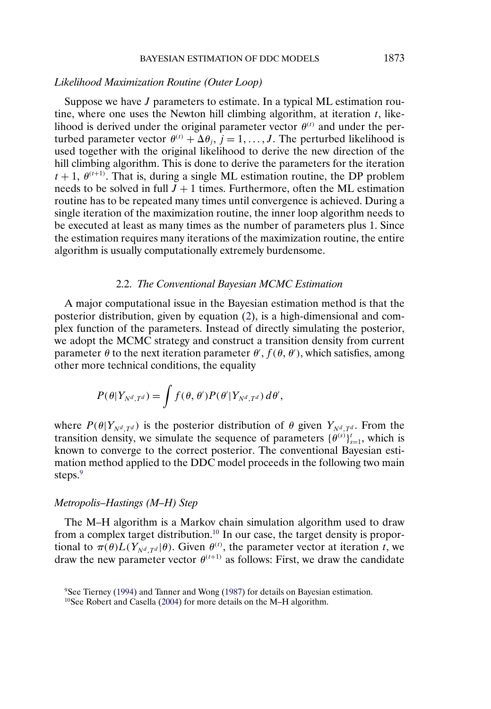## <span id="page-9-0"></span>*Likelihood Maximization Routine (Outer Loop)*

Suppose we have J parameters to estimate. In a typical ML estimation routine, where one uses the Newton hill climbing algorithm, at iteration  $t$ , likelihood is derived under the original parameter vector  $\theta^{(t)}$  and under the perturbed parameter vector  $\theta^{(t)} + \Delta \theta_i$ ,  $j = 1, ..., J$ . The perturbed likelihood is used together with the original likelihood to derive the new direction of the hill climbing algorithm. This is done to derive the parameters for the iteration  $t + 1$ ,  $\theta^{(t+1)}$ . That is, during a single ML estimation routine, the DP problem needs to be solved in full  $J + 1$  times. Furthermore, often the ML estimation routine has to be repeated many times until convergence is achieved. During a single iteration of the maximization routine, the inner loop algorithm needs to be executed at least as many times as the number of parameters plus 1. Since the estimation requires many iterations of the maximization routine, the entire algorithm is usually computationally extremely burdensome.

## 2.2. *The Conventional Bayesian MCMC Estimation*

A major computational issue in the Bayesian estimation method is that the posterior distribution, given by equation [\(2\)](#page-6-0), is a high-dimensional and complex function of the parameters. Instead of directly simulating the posterior, we adopt the MCMC strategy and construct a transition density from current parameter  $\theta$  to the next iteration parameter  $\theta'$ ,  $f(\theta, \theta')$ , which satisfies, among other more technical conditions, the equality

$$
P(\theta|Y_{N^d,T^d}) = \int f(\theta,\theta')P(\theta'|Y_{N^d,T^d})\,d\theta',
$$

where  $P(\theta|Y_{N^d,T^d})$  is the posterior distribution of  $\theta$  given  $Y_{N^d,T^d}$ . From the transition density, we simulate the sequence of parameters  $\{\theta^{(s)}\}_{s=1}^t$ , which is known to converge to the correct posterior. The conventional Bayesian estimation method applied to the DDC model proceeds in the following two main steps.<sup>9</sup>

## *Metropolis–Hastings (M–H) Step*

The M–H algorithm is a Markov chain simulation algorithm used to draw from a complex target distribution.10 In our case, the target density is proportional to  $\pi(\theta)L(Y_{N^d,T^d}|\theta)$ . Given  $\theta^{(t)}$ , the parameter vector at iteration t, we draw the new parameter vector  $\theta^{(t+1)}$  as follows: First, we draw the candidate

<sup>&</sup>lt;sup>9</sup>See Tierney [\(1994\)](#page-35-0) and Tanner and Wong [\(1987\)](#page-35-0) for details on Bayesian estimation.

<sup>10</sup>See Robert and Casella [\(2004\)](#page-35-0) for more details on the M–H algorithm.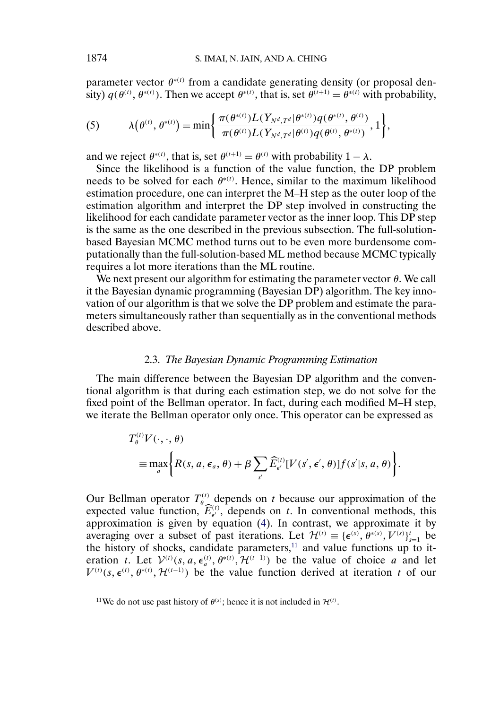<span id="page-10-0"></span>parameter vector  $\theta^{*(t)}$  from a candidate generating density (or proposal density)  $q(\theta^{(t)}, \theta^{*(t)})$ . Then we accept  $\theta^{*(t)}$ , that is, set  $\theta^{(t+1)} = \theta^{*(t)}$  with probability,

(5) 
$$
\lambda(\theta^{(t)}, \theta^{*(t)}) = \min\left\{\frac{\pi(\theta^{*(t)})L(Y_{N^d, T^d}|\theta^{*(t)})q(\theta^{*(t)}, \theta^{(t)})}{\pi(\theta^{(t)})L(Y_{N^d, T^d}|\theta^{(t)})q(\theta^{(t)}, \theta^{*(t)})}, 1\right\},\right\}
$$

and we reject  $\theta^{*(t)}$ , that is, set  $\theta^{(t+1)} = \theta^{(t)}$  with probability  $1 - \lambda$ .

Since the likelihood is a function of the value function, the DP problem needs to be solved for each  $\theta^{*(t)}$ . Hence, similar to the maximum likelihood estimation procedure, one can interpret the M–H step as the outer loop of the estimation algorithm and interpret the DP step involved in constructing the likelihood for each candidate parameter vector as the inner loop. This DP step is the same as the one described in the previous subsection. The full-solutionbased Bayesian MCMC method turns out to be even more burdensome computationally than the full-solution-based ML method because MCMC typically requires a lot more iterations than the ML routine.

We next present our algorithm for estimating the parameter vector  $\theta$ . We call it the Bayesian dynamic programming (Bayesian DP) algorithm. The key innovation of our algorithm is that we solve the DP problem and estimate the parameters simultaneously rather than sequentially as in the conventional methods described above.

## 2.3. *The Bayesian Dynamic Programming Estimation*

The main difference between the Bayesian DP algorithm and the conventional algorithm is that during each estimation step, we do not solve for the fixed point of the Bellman operator. In fact, during each modified M–H step, we iterate the Bellman operator only once. This operator can be expressed as

$$
T_{\theta}^{(t)}V(\cdot,\cdot,\theta)
$$
  

$$
\equiv \max_{a} \bigg\{ R(s,a,\epsilon_{a},\theta) + \beta \sum_{s'} \widehat{E}_{\epsilon'}^{(t)} [V(s',\epsilon',\theta)] f(s'|s,a,\theta) \bigg\}.
$$

Our Bellman operator  $T_{\theta}^{(t)}$  depends on t because our approximation of the expected value function,  $\widehat{E}_{\epsilon'}^{(t)}$ , depends on t. In conventional methods, this approximation is given by equation [\(4\)](#page-8-0). In contrast, we approximate it by averaging over a subset of past iterations. Let  $\mathcal{H}^{(t)} \equiv {\{\epsilon^{(s)}, \theta^{*(s)}, V^{(s)}\}}_{s=1}^t$  be the history of shocks, candidate parameters, $11$  and value functions up to iteration t. Let  $\mathcal{V}^{(t)}(s, a, \epsilon_a^{(t)}, \theta^{*(t)}, \mathcal{H}^{(t-1)})$  be the value of choice a and let  $V^{(t)}(s, \epsilon^{(t)}, \theta^{*(t)}, \mathcal{H}^{(t-1)})$  be the value function derived at iteration t of our

<sup>&</sup>lt;sup>11</sup>We do not use past history of  $\theta^{(s)}$ ; hence it is not included in  $\mathcal{H}^{(t)}$ .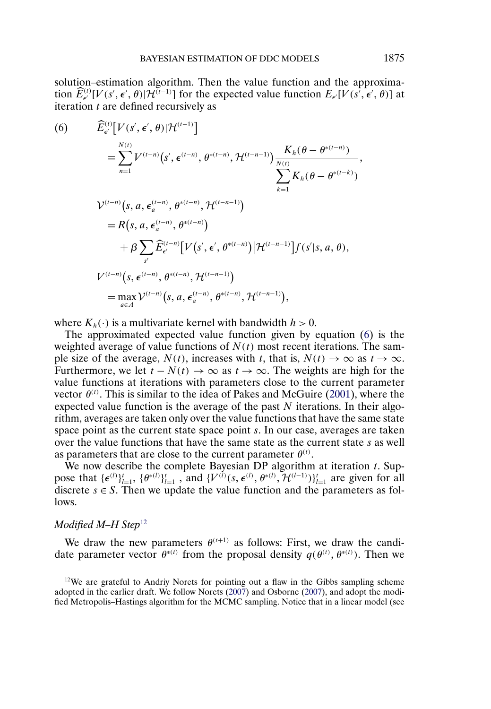<span id="page-11-0"></span>solution–estimation algorithm. Then the value function and the approximation  $\widehat{E}_{\epsilon'}^{(t)}[V(s', \epsilon', \theta)|\mathcal{H}^{(t-1)}]$  for the expected value function  $E_{\epsilon'}[V(s', \epsilon', \theta)]$  at iteration t are defined recursively as

(6) 
$$
\widehat{E}_{\epsilon}^{(t)} \left[ V(s', \epsilon', \theta) | \mathcal{H}^{(t-1)} \right]
$$
\n
$$
\equiv \sum_{n=1}^{N(t)} V^{(t-n)} \left( s', \epsilon^{(t-n)}, \theta^{*(t-n)}, \mathcal{H}^{(t-n-1)} \right) \frac{K_h(\theta - \theta^{*(t-n)})}{\sum_{k=1}^{N(t)} K_h(\theta - \theta^{*(t-k)})}
$$
\n
$$
\mathcal{V}^{(t-n)} \left( s, a, \epsilon_a^{(t-n)}, \theta^{*(t-n)}, \mathcal{H}^{(t-n-1)} \right)
$$
\n
$$
= R(s, a, \epsilon_a^{(t-n)}, \theta^{*(t-n)})
$$
\n
$$
+ \beta \sum_{s'} \widehat{E}_{\epsilon'}^{(t-n)} \left[ V(s', \epsilon', \theta^{*(t-n)}) \left| \mathcal{H}^{(t-n-1)} \right] f(s'|s, a, \theta),
$$
\n
$$
V^{(t-n)} \left( s, \epsilon_a^{(t-n)}, \theta^{*(t-n)}, \mathcal{H}^{(t-n-1)} \right)
$$
\n
$$
= \max_{a \in A} \mathcal{V}^{(t-n)} \left( s, a, \epsilon_a^{(t-n)}, \theta^{*(t-n)}, \mathcal{H}^{(t-n-1)} \right),
$$

where  $K_h(\cdot)$  is a multivariate kernel with bandwidth  $h > 0$ .

The approximated expected value function given by equation (6) is the weighted average of value functions of  $N(t)$  most recent iterations. The sample size of the average,  $N(t)$ , increases with t, that is,  $N(t) \rightarrow \infty$  as  $t \rightarrow \infty$ . Furthermore, we let  $t - N(t) \to \infty$  as  $t \to \infty$ . The weights are high for the value functions at iterations with parameters close to the current parameter vector  $\theta^{(t)}$ . This is similar to the idea of Pakes and McGuire [\(2001\)](#page-35-0), where the expected value function is the average of the past  $N$  iterations. In their algorithm, averages are taken only over the value functions that have the same state space point as the current state space point s. In our case, averages are taken over the value functions that have the same state as the current state s as well as parameters that are close to the current parameter  $\theta^{(t)}$ .

We now describe the complete Bayesian DP algorithm at iteration  $t$ . Suppose that  $\{\epsilon^{(l)}\}_{l=1}^t$ ,  $\{\theta^{*(l)}\}_{l=1}^t$ , and  $\{V^{(l)}(s, \epsilon^{(l)}, \theta^{*(l)}, \mathcal{H}^{(l-1)})\}_{l=1}^t$  are given for all discrete  $s \in S$ . Then we update the value function and the parameters as follows.

#### *Modified M–H Step*<sup>12</sup>

We draw the new parameters  $\theta^{(t+1)}$  as follows: First, we draw the candidate parameter vector  $\theta^{*(t)}$  from the proposal density  $q(\theta^{(t)}, \theta^{*(t)})$ . Then we

<sup>12</sup>We are grateful to Andriy Norets for pointing out a flaw in the Gibbs sampling scheme adopted in the earlier draft. We follow Norets [\(2007\)](#page-34-0) and Osborne [\(2007\)](#page-35-0), and adopt the modified Metropolis–Hastings algorithm for the MCMC sampling. Notice that in a linear model (see

 $\overline{\phantom{a}}$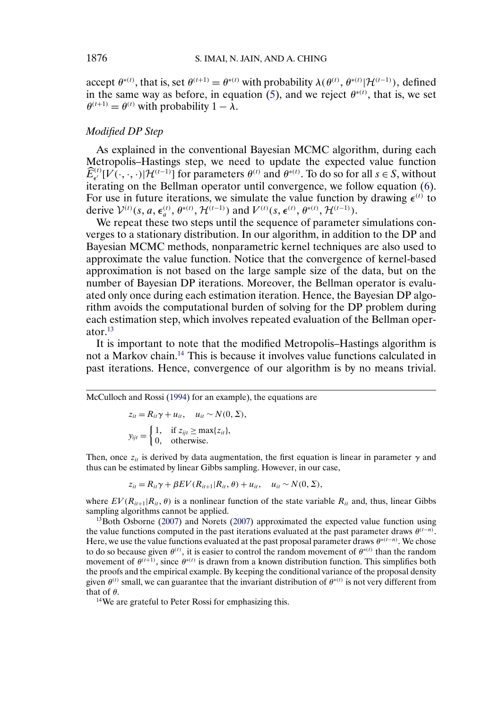<span id="page-12-0"></span>accept  $\theta^{*(t)}$ , that is, set  $\theta^{(t+1)} = \theta^{*(t)}$  with probability  $\lambda(\theta^{(t)}, \theta^{*(t)} | \mathcal{H}^{(t-1)})$ , defined in the same way as before, in equation [\(5\)](#page-10-0), and we reject  $\theta^{*(t)}$ , that is, we set  $\theta^{(t+1)} = \theta^{(t)}$  with probability  $1 - \lambda$ .

## *Modified DP Step*

As explained in the conventional Bayesian MCMC algorithm, during each Metropolis–Hastings step, we need to update the expected value function  $\widehat{E}_{\epsilon'}^{(t)}[V(\cdot,\cdot,\cdot)|\mathcal{H}^{(t-1)}]$  for parameters  $\theta^{(t)}$  and  $\theta^{*(t)}$ . To do so for all  $s \in S$ , without iterating on the Bellman operator until convergence, we follow equation [\(6\)](#page-11-0). For use in future iterations, we simulate the value function by drawing  $\epsilon^{(t)}$  to derive  $V^{(t)}(s, a, \epsilon_a^{(t)}, \theta^{*(t)}, \mathcal{H}^{(t-1)})$  and  $V^{(t)}(s, \epsilon^{(t)}, \theta^{*(t)}, \mathcal{H}^{(t-1)})$ .

We repeat these two steps until the sequence of parameter simulations converges to a stationary distribution. In our algorithm, in addition to the DP and Bayesian MCMC methods, nonparametric kernel techniques are also used to approximate the value function. Notice that the convergence of kernel-based approximation is not based on the large sample size of the data, but on the number of Bayesian DP iterations. Moreover, the Bellman operator is evaluated only once during each estimation iteration. Hence, the Bayesian DP algorithm avoids the computational burden of solving for the DP problem during each estimation step, which involves repeated evaluation of the Bellman operator.13

It is important to note that the modified Metropolis–Hastings algorithm is not a Markov chain.14 This is because it involves value functions calculated in past iterations. Hence, convergence of our algorithm is by no means trivial.

McCulloch and Rossi [\(1994\)](#page-34-0) for an example), the equations are

$$
z_{it} = R_{it}\gamma + u_{it}, \quad u_{it} \sim N(0, \Sigma),
$$
  
\n
$$
y_{ijt} = \begin{cases} 1, & \text{if } z_{ijt} \ge \max\{z_{it}\}, \\ 0, & \text{otherwise.} \end{cases}
$$

Then, once  $z_{it}$  is derived by data augmentation, the first equation is linear in parameter  $\gamma$  and thus can be estimated by linear Gibbs sampling. However, in our case,

 $z_{it} = R_{it} \gamma + \beta EV(R_{it+1}|R_{it}, \theta) + u_{it}, \quad u_{it} \sim N(0, \Sigma),$ 

where  $EV(R_{i+1}|R_{i}, \theta)$  is a nonlinear function of the state variable  $R_{i}$  and, thus, linear Gibbs sampling algorithms cannot be applied.

 $13$ Both Osborne [\(2007\)](#page-34-0) and Norets (2007) approximated the expected value function using the value functions computed in the past iterations evaluated at the past parameter draws  $\theta^{(t-n)}$ . Here, we use the value functions evaluated at the past proposal parameter draws  $\theta^{*(t-n)}$ . We chose to do so because given  $\theta^{(t)}$ , it is easier to control the random movement of  $\theta^{*(t)}$  than the random movement of  $\theta^{(t+1)}$ , since  $\theta^{*(t)}$  is drawn from a known distribution function. This simplifies both the proofs and the empirical example. By keeping the conditional variance of the proposal density given  $\theta^{(t)}$  small, we can guarantee that the invariant distribution of  $\theta^{*(t)}$  is not very different from that of  $\theta$ .

14We are grateful to Peter Rossi for emphasizing this.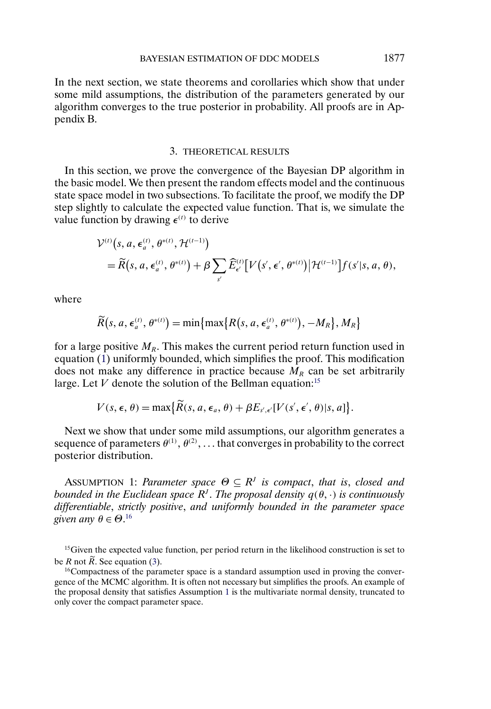<span id="page-13-0"></span>In the next section, we state theorems and corollaries which show that under some mild assumptions, the distribution of the parameters generated by our algorithm converges to the true posterior in probability. All proofs are in Appendix B.

#### 3. THEORETICAL RESULTS

In this section, we prove the convergence of the Bayesian DP algorithm in the basic model. We then present the random effects model and the continuous state space model in two subsections. To facilitate the proof, we modify the DP step slightly to calculate the expected value function. That is, we simulate the value function by drawing  $\epsilon^{(t)}$  to derive

$$
\mathcal{V}^{(t)}(s, a, \epsilon_a^{(t)}, \theta^{*(t)}, \mathcal{H}^{(t-1)})
$$
  
=  $\widetilde{R}(s, a, \epsilon_a^{(t)}, \theta^{*(t)}) + \beta \sum_{s'} \widehat{E}_{\epsilon'}^{(t)} [V(s', \epsilon', \theta^{*(t)}) | \mathcal{H}^{(t-1)}] f(s'|s, a, \theta),$ 

where

$$
\widetilde{R}(s, a, \epsilon_a^{(t)}, \theta^{*(t)}) = \min\{\max\{R(s, a, \epsilon_a^{(t)}, \theta^{*(t)}), -M_R\}, M_R\}
$$

for a large positive  $M_R$ . This makes the current period return function used in equation [\(1\)](#page-5-0) uniformly bounded, which simplifies the proof. This modification does not make any difference in practice because  $M_R$  can be set arbitrarily large. Let  $V$  denote the solution of the Bellman equation:<sup>15</sup>

$$
V(s,\epsilon,\theta) = \max \{ \widetilde{R}(s,a,\epsilon_a,\theta) + \beta E_{s',\epsilon'}[V(s',\epsilon',\theta)|s,a] \}.
$$

Next we show that under some mild assumptions, our algorithm generates a sequence of parameters  $\theta^{(1)}$ ,  $\theta^{(2)}$ , ... that converges in probability to the correct posterior distribution.

ASSUMPTION 1: *Parameter space*  $\Theta \subseteq R^J$  *is compact, that is, closed and bounded in the Euclidean space*  $R<sup>J</sup>$ . *The proposal density*  $q(\theta, \cdot)$  *is continuously differentiable*, *strictly positive*, *and uniformly bounded in the parameter space* given any  $\theta \in \Theta .^{16}$ 

 $15$  Given the expected value function, per period return in the likelihood construction is set to be R not  $\widetilde{R}$ . See equation [\(3\)](#page-7-0). <sup>16</sup>Compactness of the parameter space is a standard assumption used in proving the conver-

gence of the MCMC algorithm. It is often not necessary but simplifies the proofs. An example of the proposal density that satisfies Assumption 1 is the multivariate normal density, truncated to only cover the compact parameter space.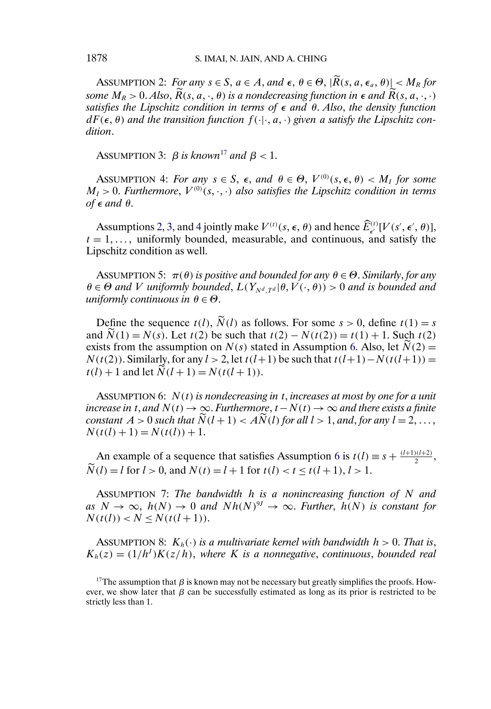<span id="page-14-0"></span>ASSUMPTION 2: *For any*  $s \in S$ ,  $a \in A$ , and  $\epsilon$ ,  $\theta \in \Theta$ ,  $|\widetilde{R}(s, a, \epsilon_a, \theta)| < M_R$  for *some*  $M_R > 0$ . *Also*,  $\widetilde{R}(s, a, \cdot, \theta)$  *is a nondecreasing function in*  $\epsilon$  *and*  $\widetilde{R}(s, a, \cdot, \cdot)$ *satisfies the Lipschitz condition in terms of and* θ. *Also*, *the density function*  $dF(\epsilon, \theta)$  and the transition function  $f(\cdot | \cdot, a, \cdot)$  given a satisfy the Lipschitz con*dition*.

ASSUMPTION 3:  $\beta$  *is known*<sup>17</sup> *and*  $\beta$  < 1.

ASSUMPTION 4: *For any*  $s \in S$ ,  $\epsilon$ , *and*  $\theta \in \Theta$ ,  $V^{(0)}(s, \epsilon, \theta) < M_I$  *for some*  $M_I > 0$ . Furthermore,  $V^{(0)}(s, \cdot, \cdot)$  also satisfies the Lipschitz condition in terms  $of \epsilon$  *and*  $\theta$ .

Assumptions 2, 3, and 4 jointly make  $V^{(t)}(s, \epsilon, \theta)$  and hence  $\widehat{E}_{\epsilon'}^{(t)}[V(s', \epsilon', \theta)],$  $t = 1, \ldots$ , uniformly bounded, measurable, and continuous, and satisfy the Lipschitz condition as well.

ASSUMPTION 5:  $\pi(\theta)$  *is positive and bounded for any*  $\theta \in \Theta$ . *Similarly, for any*  $\theta \in \Theta$  *and* V *uniformly bounded*,  $L(Y_{N^d, T^d} | \theta, V(\cdot, \theta)) > 0$  *and is bounded and uniformly continuous in*  $\theta \in \Theta$ .

Define the sequence  $t(l)$ ,  $\tilde{N}(l)$  as follows. For some  $s > 0$ , define  $t(1) = s$ and  $\widetilde{N}(1) = N(s)$ . Let  $t(2)$  be such that  $t(2) - N(t(2)) = t(1) + 1$ . Such  $t(2)$ exists from the assumption on  $N(s)$  stated in Assumption 6. Also, let  $N(2) =$  $N(t(2))$ . Similarly, for any  $l > 2$ , let  $t(l+1)$  be such that  $t(l+1)-N(t(l+1)) =$  $t(l) + 1$  and let  $\tilde{N}(l + 1) = N(t(l + 1)).$ 

ASSUMPTION 6: N(t) *is nondecreasing in* t, *increases at most by one for a unit increase in t, and*  $N(t) \rightarrow \infty$ *. Furthermore, t* –  $N(t) \rightarrow \infty$  *and there exists a finite constant*  $A > 0$  *such that*  $\widetilde{N}(l + 1) < A\widetilde{N}(l)$  for all  $l > 1$ , and, for any  $l = 2, \ldots$ ,  $N(t(l) + 1) = N(t(l)) + 1.$ 

An example of a sequence that satisfies Assumption 6 is  $t(l) \equiv s + \frac{(l+1)(l+2)}{2}$ ,  $\widetilde{N}(l) = l$  for  $l > 0$ , and  $N(t) = l + 1$  for  $t(l) < t < t(l + 1), l > 1$ .

ASSUMPTION 7: *The bandwidth* h *is a nonincreasing function of* N *and as*  $N \to \infty$ ,  $h(N) \to 0$  *and*  $Nh(N)^{9} \to \infty$ . *Further*,  $h(N)$  *is constant for*  $N(t(l)) < N \leq N(t(l+1)).$ 

ASSUMPTION 8:  $K_h(\cdot)$  *is a multivariate kernel with bandwidth*  $h > 0$ . *That is*,  $K_h(z) = (1/h^j)K(z/h)$ , where K is a nonnegative, continuous, bounded real

<sup>&</sup>lt;sup>17</sup>The assumption that  $\beta$  is known may not be necessary but greatly simplifies the proofs. However, we show later that  $\beta$  can be successfully estimated as long as its prior is restricted to be strictly less than 1.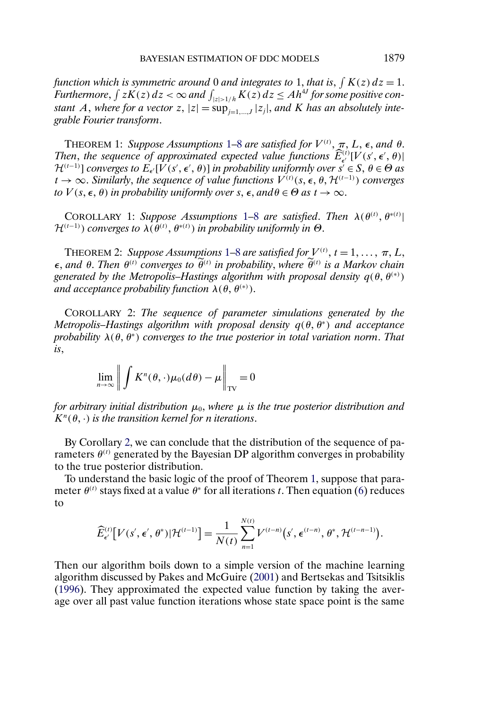<span id="page-15-0"></span>function which is symmetric around 0 and integrates to 1, that is,  $\int K(z) dz = 1$ . Furthermore,  $\int zK(z)\,dz < \infty$  and  $\int_{|z|>1/h} K(z)\,dz \leq Ah^{4J}$  for some positive con*stant* A, where for a vector  $z$ ,  $|z| = \sup_{i=1,\dots,J} |z_i|$ , and K has an absolutely inte*grable Fourier transform*.

THEOREM 1: *Suppose Assumptions* [1–](#page-13-0)[8](#page-14-0) *are satisfied for*  $V^{(t)}$ ,  $\pi$ , L,  $\epsilon$ , *and*  $\theta$ . Then, the sequence of approximated expected value functions  $\widehat{E}_{\epsilon'}^{(t)}[V(s', \epsilon', \theta)]$  $\mathcal{H}^{(t-1)}$ ] *converges to*  $E_{\epsilon'}[V(s', \epsilon', \theta)]$  *in probability uniformly over*  $s' \in S$ ,  $\theta \in \Theta$  as  $t \to \infty$ . *Similarly, the sequence of value functions*  $V^{(t)}(s, \epsilon, \theta, \mathcal{H}^{(t-1)})$  *converges to*  $V(s, \epsilon, \theta)$  *in probability uniformly over*  $s, \epsilon,$  *and* $\theta \in \Theta$  *as*  $t \to \infty$ .

COROLLARY 1: *Suppose Assumptions* [1–](#page-13-0)[8](#page-14-0) *are satisfied. Then*  $\lambda(\theta^{(t)}, \theta^{*(t)})$ H(t−1) ) *converges to* λ(θ(t) θ<sup>∗</sup>(t)) *in probability uniformly in* Θ.

THEOREM 2: *Suppose Assumptions* [1–](#page-13-0)[8](#page-14-0) *are satisfied for*  $V^{(t)}$ ,  $t = 1, \ldots, \pi, L$ ,  $\epsilon$ , and  $\theta$ . *Then*  $\theta^{(t)}$  *converges to*  $\widetilde{\theta}^{(t)}$  *in probability*, *where*  $\widetilde{\theta}^{(t)}$  *is a Markov chain generated by the Metropolis–Hastings algorithm with proposal density*  $q(\theta, \theta^{(*)})$ and acceptance probability function  $\lambda(\theta, \theta^{(*)})$ .

COROLLARY 2: *The sequence of parameter simulations generated by the Metropolis–Hastings algorithm with proposal density*  $q(\theta, \theta^*)$  *and acceptance probability*  $\lambda(\theta, \theta^*)$  *converges to the true posterior in total variation norm. That is*,

$$
\lim_{n\to\infty}\left\|\int K^n(\theta,\cdot)\mu_0(d\theta)-\mu\right\|_{\rm TV}=0
$$

*for arbitrary initial distribution*  $\mu_0$ *, where*  $\mu$  *is the true posterior distribution and*  $K^n(\theta, \cdot)$  *is the transition kernel for n iterations.* 

By Corollary 2, we can conclude that the distribution of the sequence of parameters  $\theta^{(t)}$  generated by the Bayesian DP algorithm converges in probability to the true posterior distribution.

To understand the basic logic of the proof of Theorem 1, suppose that parameter  $\theta^{(t)}$  stays fixed at a value  $\theta^*$  for all iterations t. Then equation [\(6\)](#page-11-0) reduces to

$$
\widehat{E}_{\epsilon'}^{(t)}\big[V(s',\epsilon',\theta^*)|\mathcal{H}^{(t-1)}\big]=\frac{1}{N(t)}\sum_{n=1}^{N(t)}V^{(t-n)}\big(s',\epsilon^{(t-n)},\theta^*,\mathcal{H}^{(t-n-1)}\big).
$$

Then our algorithm boils down to a simple version of the machine learning algorithm discussed by Pakes and McGuire [\(2001\)](#page-35-0) and Bertsekas and Tsitsiklis [\(1996\)](#page-33-0). They approximated the expected value function by taking the average over all past value function iterations whose state space point is the same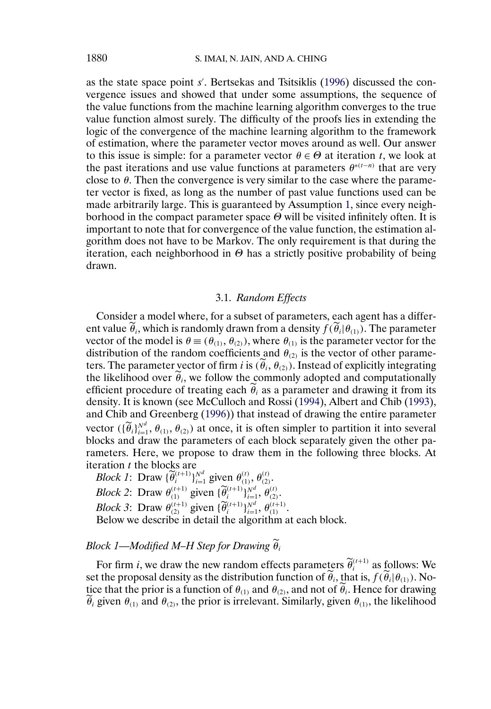<span id="page-16-0"></span>as the state space point s'. Bertsekas and Tsitsiklis [\(1996\)](#page-33-0) discussed the convergence issues and showed that under some assumptions, the sequence of the value functions from the machine learning algorithm converges to the true value function almost surely. The difficulty of the proofs lies in extending the logic of the convergence of the machine learning algorithm to the framework of estimation, where the parameter vector moves around as well. Our answer to this issue is simple: for a parameter vector  $\theta \in \Theta$  at iteration t, we look at the past iterations and use value functions at parameters  $\theta^{*(t-n)}$  that are very close to  $\theta$ . Then the convergence is very similar to the case where the parameter vector is fixed, as long as the number of past value functions used can be made arbitrarily large. This is guaranteed by Assumption [1,](#page-13-0) since every neighborhood in the compact parameter space  $\Theta$  will be visited infinitely often. It is important to note that for convergence of the value function, the estimation algorithm does not have to be Markov. The only requirement is that during the iteration, each neighborhood in  $\Theta$  has a strictly positive probability of being drawn.

## 3.1. *Random Effects*

Consider a model where, for a subset of parameters, each agent has a different value  $\tilde{\theta}_i$ , which is randomly drawn from a density  $f(\tilde{\theta}_i|\theta_{(1)})$ . The parameter vector of the model is  $\theta \equiv (\theta_{(1)}, \theta_{(2)})$ , where  $\theta_{(1)}$  is the parameter vector for the distribution of the random coefficients and  $\theta_{(2)}$  is the vector of other parameters. The parameter vector of firm i is  $(\tilde{\theta}_i, \theta_{(2)})$ . Instead of explicitly integrating the likelihood over  $\tilde{\theta}_i$ , we follow the commonly adopted and computationally efficient procedure of treating each  $\tilde{\theta}_i$  as a parameter and drawing it from its density. It is known (see McCulloch and Rossi [\(1994\)](#page-34-0), Albert and Chib [\(1993\)](#page-33-0), and Chib and Greenberg [\(1996\)](#page-34-0)) that instead of drawing the entire parameter vector  $(\{\tilde{\theta}_i\}_{i=1}^{N^d}, \theta_{(1)}, \theta_{(2)})$  at once, it is often simpler to partition it into several blocks and draw the parameters of each block separately given the other parameters. Here, we propose to draw them in the following three blocks. At iteration t the blocks are

*Block 1*: Draw  $\{\widetilde{\theta}_i^{(t+1)}\}_{i=1}^{N^d}$  given  $\theta_{(1)}^{(t)}, \theta_{(2)}^{(t)}$ . *Block* 2: Draw  $\theta_{(1)}^{(t+1)}$  given  $\{\widetilde{\theta}_{i}^{(t+1)}\}_{i=1}^{N^{d}}, \theta_{(2)}^{(t)}$ . *Block 3*: Draw  $\theta_{(2)}^{(t+1)}$  given  $\{\widetilde{\theta}_i^{(t+1)}\}_{i=1}^{N^d}, \theta_{(1)}^{(t+1)}$ . Below we describe in detail the algorithm at each block.

## *Block 1—Modified M–H Step for Drawing*  $\widetilde{\theta}_i$

For firm i, we draw the new random effects parameters  $\widetilde{\theta}_i^{(t+1)}$  as follows: We set the proposal density as the distribution function of  $\tilde{\theta}_i$ , that is,  $f(\tilde{\theta}_i|\theta_{(1)})$ . Notice that the prior is a function of  $\theta_{(1)}$  and  $\theta_{(2)}$ , and not of  $\theta_i$ . Hence for drawing  $\hat{\theta}_i$  given  $\theta_{(1)}$  and  $\theta_{(2)}$ , the prior is irrelevant. Similarly, given  $\theta_{(1)}$ , the likelihood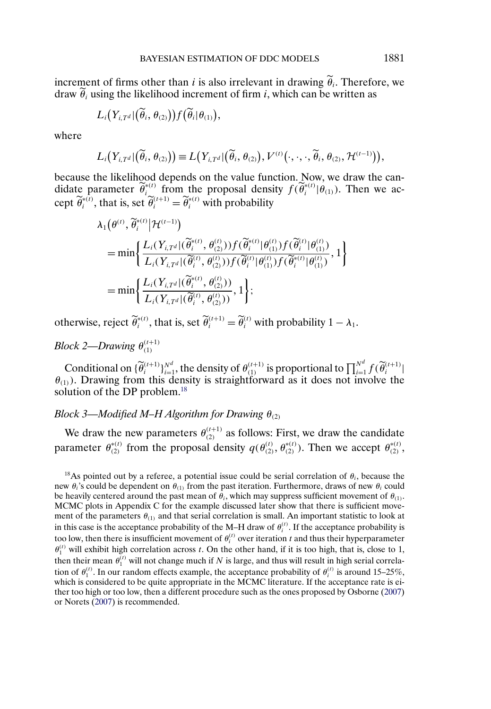<span id="page-17-0"></span>increment of firms other than i is also irrelevant in drawing  $\tilde{\theta}_i$ . Therefore, we draw  $\tilde{\theta}_i$  using the likelihood increment of firm i, which can be written as

$$
L_i(Y_{i,T^d} | (\widetilde{\theta}_i,\theta_{(2)})) f(\widetilde{\theta}_i | \theta_{(1)}),
$$

where

$$
L_i(Y_{i,T^d} | (\widetilde{\theta}_i, \theta_{(2)}) ) \equiv L(Y_{i,T^d} | (\widetilde{\theta}_i, \theta_{(2)}), V^{(t)}(\cdot, \cdot, \cdot, \widetilde{\theta}_i, \theta_{(2)}, \mathcal{H}^{(t-1)}) ),
$$

because the likelihood depends on the value function. Now, we draw the candidate parameter  $\widetilde{\theta}_{i}^{*(t)}$  from the proposal density  $f(\widetilde{\theta}_{i}^{*(t)} | \theta_{(1)})$ . Then we accept  $\widetilde{\theta}_i^{*(t)}$ , that is, set  $\widetilde{\theta}_i^{(t+1)} = \widetilde{\theta}_i^{*(t)}$  with probability

$$
\lambda_{1}(\theta^{(t)}, \widetilde{\theta}_{i}^{*(t)} | \mathcal{H}^{(t-1)})
$$
\n
$$
= \min \Big\{ \frac{L_{i}(Y_{i,T^{d}} | (\widetilde{\theta}_{i}^{*(t)}, \theta_{(2)}^{(t)})) f(\widetilde{\theta}_{i}^{*(t)} | \theta_{(1)}^{(t)}) f(\widetilde{\theta}_{i}^{(t)} | \theta_{(1)}^{(t)})}{L_{i}(Y_{i,T^{d}} | (\widetilde{\theta}_{i}^{(t)}, \theta_{(2)}^{(t)})) f(\widetilde{\theta}_{i}^{(t)} | \theta_{(1)}^{(t)}) f(\widetilde{\theta}_{i}^{*(t)} | \theta_{(1)}^{(t)})}, 1 \Big\}
$$
\n
$$
= \min \Big\{ \frac{L_{i}(Y_{i,T^{d}} | (\widetilde{\theta}_{i}^{*(t)}, \theta_{(2)}^{(t)}))}{L_{i}(Y_{i,T^{d}} | (\widetilde{\theta}_{i}^{(t)}, \theta_{(2)}^{(t)}))}, 1 \Big\};
$$

otherwise, reject  $\widetilde{\theta}_i^{*(t)}$ , that is, set  $\widetilde{\theta}_i^{(t+1)} = \widetilde{\theta}_i^{(t)}$  with probability  $1 - \lambda_1$ .

## *Block 2—Drawing*  $\theta_{(1)}^{(t+1)}$

Conditional on  $\{\widetilde{\theta}_{i}^{(t+1)}\}_{i=1}^{N^d}$ , the density of  $\theta_{(1)}^{(t+1)}$  is proportional to  $\prod_{i=1}^{N^d} f(\widetilde{\theta}_{i}^{(t+1)})$  $\theta$ <sub>(1)</sub>). Drawing from this density is straightforward as it does not involve the solution of the DP problem.<sup>18</sup>

## *Block 3—Modified M–H Algorithm for Drawing*  $\theta_{(2)}$

We draw the new parameters  $\theta_{(2)}^{(t+1)}$  as follows: First, we draw the candidate parameter  $\theta_{(2)}^{*(t)}$  from the proposal density  $q(\theta_{(2)}^{(t)}, \theta_{(2)}^{*(t)})$ . Then we accept  $\theta_{(2)}^{*(t)}$ ,

<sup>18</sup>As pointed out by a referee, a potential issue could be serial correlation of  $\theta_i$ , because the new  $\theta_i$ 's could be dependent on  $\theta_{(1)}$  from the past iteration. Furthermore, draws of new  $\theta_i$  could be heavily centered around the past mean of  $\theta_i$ , which may suppress sufficient movement of  $\theta_{(1)}$ . MCMC plots in Appendix C for the example discussed later show that there is sufficient movement of the parameters  $\theta_{(1)}$  and that serial correlation is small. An important statistic to look at in this case is the acceptance probability of the M–H draw of  $\theta_i^{(t)}$ . If the acceptance probability is too low, then there is insufficient movement of  $\theta_i^{(t)}$  over iteration t and thus their hyperparameter  $\theta_1^{(t)}$  will exhibit high correlation across t. On the other hand, if it is too high, that is, close to 1, then their mean  $\theta_1^{(t)}$  will not change much if N is large, and thus will result in high serial correlation of  $\theta_1^{(t)}$ . In our random effects example, the acceptance probability of  $\theta_i^{(t)}$  is around 15–25%, which is considered to be quite appropriate in the MCMC literature. If the acceptance rate is either too high or too low, then a different procedure such as the ones proposed by Osborne [\(2007\)](#page-35-0) or Norets [\(2007\)](#page-34-0) is recommended.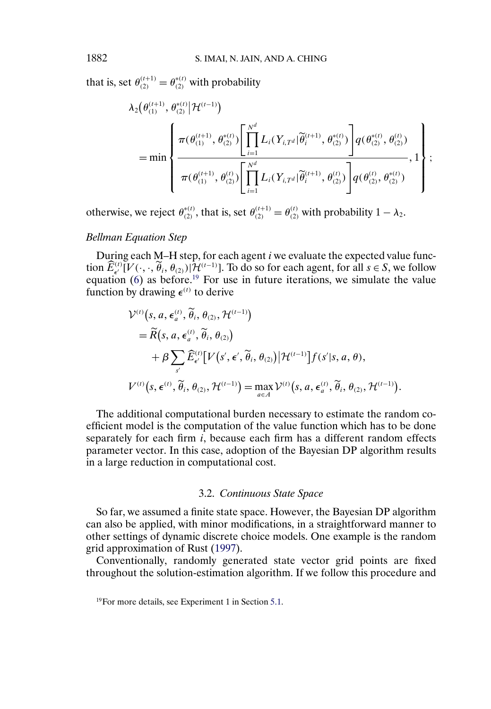that is, set  $\theta_{(2)}^{(t+1)} = \theta_{(2)}^{*(t)}$  with probability

$$
\lambda_2(\theta_{(1)}^{(t+1)}, \theta_{(2)}^{*(t)} | \mathcal{H}^{(t-1)})
$$
\n
$$
= \min \left\{\frac{\pi(\theta_{(1)}^{(t+1)}, \theta_{(2)}^{*(t)}) \left[\prod_{i=1}^{N^d} L_i(Y_{i,T^d} | \widetilde{\theta}_i^{(t+1)}, \theta_{(2)}^{*(t)})\right] q(\theta_{(2)}^{*(t)}, \theta_{(2)}^{(t)})}{\pi(\theta_{(1)}^{(t+1)}, \theta_{(2)}^{(t)}) \left[\prod_{i=1}^{N^d} L_i(Y_{i,T^d} | \widetilde{\theta}_i^{(t+1)}, \theta_{(2)}^{(t)})\right] q(\theta_{(2)}^{(t)}, \theta_{(2)}^{*(t)})}, 1 \right\};
$$

otherwise, we reject  $\theta_{(2)}^{*(t)}$ , that is, set  $\theta_{(2)}^{(t+1)} = \theta_{(2)}^{(t)}$  with probability  $1 - \lambda_2$ .

## *Bellman Equation Step*

During each M–H step, for each agent *i* we evaluate the expected value function  $\widehat{E}_{\epsilon'}^{(t)}[V(\cdot,\cdot,\widetilde{\theta}_i,\theta_{(2)})|\mathcal{H}^{(t-1)}]$ . To do so for each agent, for all  $s \in S$ , we follow equation  $(6)$  as before.<sup>19</sup> For use in future iterations, we simulate the value function by drawing  $\epsilon^{(t)}$  to derive

$$
\mathcal{V}^{(t)}(s, a, \epsilon_a^{(t)}, \widetilde{\theta}_i, \theta_{(2)}, \mathcal{H}^{(t-1)})
$$
  
=  $\widetilde{R}(s, a, \epsilon_a^{(t)}, \widetilde{\theta}_i, \theta_{(2)})$   
+  $\beta \sum_{s'} \widetilde{E}_{\epsilon'}^{(t)} [V(s', \epsilon', \widetilde{\theta}_i, \theta_{(2)}) | \mathcal{H}^{(t-1)}] f(s'|s, a, \theta),$   

$$
V^{(t)}(s, \epsilon^{(t)}, \widetilde{\theta}_i, \theta_{(2)}, \mathcal{H}^{(t-1)}) = \max_{a \in A} \mathcal{V}^{(t)}(s, a, \epsilon_a^{(t)}, \widetilde{\theta}_i, \theta_{(2)}, \mathcal{H}^{(t-1)})
$$

 $\ddot{\phantom{0}}$ 

The additional computational burden necessary to estimate the random coefficient model is the computation of the value function which has to be done separately for each firm *i*, because each firm has a different random effects parameter vector. In this case, adoption of the Bayesian DP algorithm results in a large reduction in computational cost.

## 3.2. *Continuous State Space*

So far, we assumed a finite state space. However, the Bayesian DP algorithm can also be applied, with minor modifications, in a straightforward manner to other settings of dynamic discrete choice models. One example is the random grid approximation of Rust [\(1997\)](#page-35-0).

Conventionally, randomly generated state vector grid points are fixed throughout the solution-estimation algorithm. If we follow this procedure and

<sup>19</sup>For more details, see Experiment 1 in Section [5.1.](#page-28-0)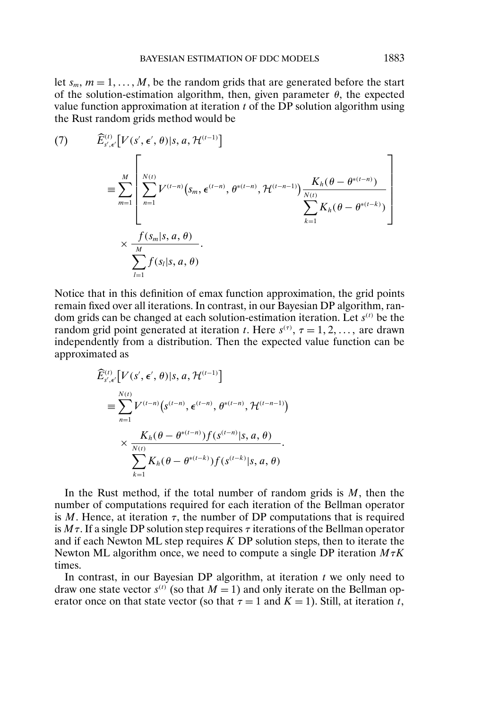<span id="page-19-0"></span>let  $s_m$ ,  $m = 1, \ldots, M$ , be the random grids that are generated before the start of the solution-estimation algorithm, then, given parameter  $\theta$ , the expected value function approximation at iteration  $t$  of the DP solution algorithm using the Rust random grids method would be

(7) 
$$
\widehat{E}_{s',\epsilon'}^{(t)}[V(s',\epsilon',\theta)|s,a,\mathcal{H}^{(t-1)}]
$$
\n
$$
\equiv \sum_{m=1}^{M} \left[ \sum_{n=1}^{N(t)} V^{(t-n)}(s_m,\epsilon^{(t-n)},\theta^{*(t-n)},\mathcal{H}^{(t-n-1)}) \frac{K_h(\theta-\theta^{*(t-n)})}{\sum_{k=1}^{N(t)} K_h(\theta-\theta^{*(t-k)})} \right]
$$
\n
$$
\times \frac{f(s_m|s,a,\theta)}{\sum_{l=1}^{M} f(s_l|s,a,\theta)}.
$$

Notice that in this definition of emax function approximation, the grid points remain fixed over all iterations. In contrast, in our Bayesian DP algorithm, random grids can be changed at each solution-estimation iteration. Let  $s^{(t)}$  be the random grid point generated at iteration t. Here  $s^{(\tau)}$ ,  $\tau = 1, 2, \ldots$ , are drawn independently from a distribution. Then the expected value function can be approximated as

$$
\widehat{E}_{s',\epsilon'}^{(t)}[V(s',\epsilon',\theta)|s,a,\mathcal{H}^{(t-1)}]
$$
\n
$$
=\sum_{n=1}^{N(t)}V^{(t-n)}\big(s^{(t-n)},\epsilon^{(t-n)},\theta^{*(t-n)},\mathcal{H}^{(t-n-1)}\big)\\ \times\frac{K_h(\theta-\theta^{*(t-n)})f(s^{(t-n)}|s,a,\theta)}{\sum_{k=1}^{N(t)}K_h(\theta-\theta^{*(t-k)})f(s^{(t-k)}|s,a,\theta)}.
$$

In the Rust method, if the total number of random grids is  $M$ , then the number of computations required for each iteration of the Bellman operator is M. Hence, at iteration  $\tau$ , the number of DP computations that is required is  $M\tau$ . If a single DP solution step requires  $\tau$  iterations of the Bellman operator and if each Newton ML step requires K DP solution steps, then to iterate the Newton ML algorithm once, we need to compute a single DP iteration  $M \tau K$ times.

In contrast, in our Bayesian DP algorithm, at iteration  $t$  we only need to draw one state vector  $s^{(t)}$  (so that  $M = 1$ ) and only iterate on the Bellman operator once on that state vector (so that  $\tau = 1$  and  $K = 1$ ). Still, at iteration t,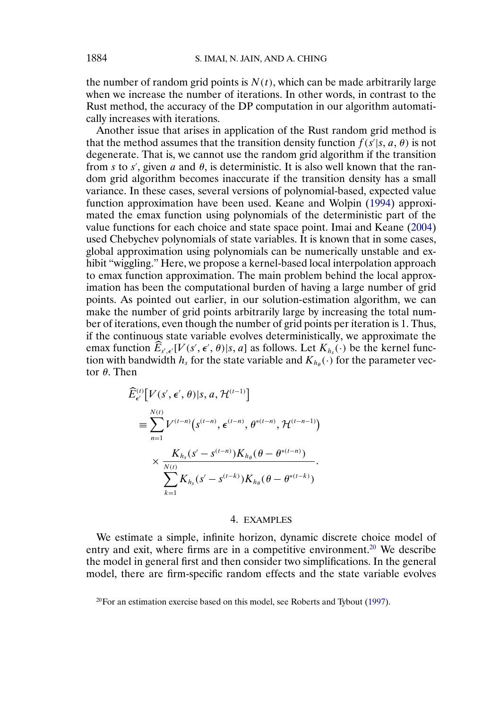<span id="page-20-0"></span>the number of random grid points is  $N(t)$ , which can be made arbitrarily large when we increase the number of iterations. In other words, in contrast to the Rust method, the accuracy of the DP computation in our algorithm automatically increases with iterations.

Another issue that arises in application of the Rust random grid method is that the method assumes that the transition density function  $f(s'|s, a, \theta)$  is not degenerate. That is, we cannot use the random grid algorithm if the transition from s to s', given a and  $\theta$ , is deterministic. It is also well known that the random grid algorithm becomes inaccurate if the transition density has a small variance. In these cases, several versions of polynomial-based, expected value function approximation have been used. Keane and Wolpin [\(1994\)](#page-34-0) approximated the emax function using polynomials of the deterministic part of the value functions for each choice and state space point. Imai and Keane [\(2004\)](#page-34-0) used Chebychev polynomials of state variables. It is known that in some cases, global approximation using polynomials can be numerically unstable and exhibit "wiggling." Here, we propose a kernel-based local interpolation approach to emax function approximation. The main problem behind the local approximation has been the computational burden of having a large number of grid points. As pointed out earlier, in our solution-estimation algorithm, we can make the number of grid points arbitrarily large by increasing the total number of iterations, even though the number of grid points per iteration is 1. Thus, if the continuous state variable evolves deterministically, we approximate the emax function  $\widehat{E}_{s',\epsilon'}[V(s',\epsilon',\theta)|s,a]$  as follows. Let  $K_{h_s}(\cdot)$  be the kernel function with bandwidth  $h_s$  for the state variable and  $K_{h}(\cdot)$  for the parameter vector  $θ$ . Then

$$
\widehat{E}_{\epsilon'}^{(t)}\big[V(s',\epsilon',\theta)|s,a,\mathcal{H}^{(t-1)}\big] \n= \sum_{n=1}^{N(t)} V^{(t-n)}\big(s^{(t-n)},\epsilon^{(t-n)},\theta^{*(t-n)},\mathcal{H}^{(t-n-1)}\big) \n\times \frac{K_{h_s}(s'-s^{(t-n)})K_{h_\theta}(\theta-\theta^{*(t-n)})}{\sum_{k=1}^{N(t)} K_{h_s}(s'-s^{(t-k)})K_{h_\theta}(\theta-\theta^{*(t-k)})}.
$$

## 4. EXAMPLES

We estimate a simple, infinite horizon, dynamic discrete choice model of entry and exit, where firms are in a competitive environment.<sup>20</sup> We describe the model in general first and then consider two simplifications. In the general model, there are firm-specific random effects and the state variable evolves

 $20$  For an estimation exercise based on this model, see Roberts and Tybout [\(1997\)](#page-35-0).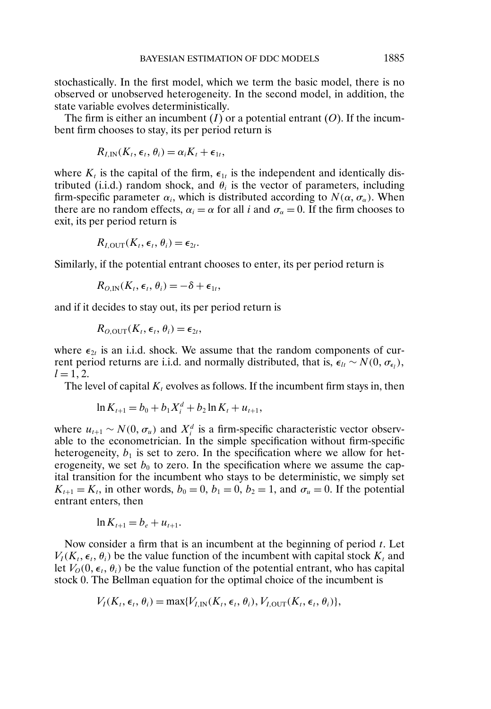stochastically. In the first model, which we term the basic model, there is no observed or unobserved heterogeneity. In the second model, in addition, the state variable evolves deterministically.

The firm is either an incumbent  $(I)$  or a potential entrant  $(O)$ . If the incumbent firm chooses to stay, its per period return is

$$
R_{I,\mathrm{IN}}(K_t,\epsilon_t,\theta_i)=\alpha_iK_t+\epsilon_{1t},
$$

where  $K_t$  is the capital of the firm,  $\epsilon_{1t}$  is the independent and identically distributed (i.i.d.) random shock, and  $\theta_i$  is the vector of parameters, including firm-specific parameter  $\alpha_i$ , which is distributed according to  $N(\alpha, \sigma_\alpha)$ . When there are no random effects,  $\alpha_i = \alpha$  for all i and  $\sigma_\alpha = 0$ . If the firm chooses to exit, its per period return is

$$
R_{I,\text{OUT}}(K_t,\epsilon_t,\theta_i)=\epsilon_{2t}.
$$

Similarly, if the potential entrant chooses to enter, its per period return is

$$
R_{O,\text{IN}}(K_t, \epsilon_t, \theta_i) = -\delta + \epsilon_{1t},
$$

and if it decides to stay out, its per period return is

$$
R_{O,\text{OUT}}(K_t,\epsilon_t,\theta_i)=\epsilon_{2t},
$$

where  $\epsilon_{2t}$  is an i.i.d. shock. We assume that the random components of current period returns are i.i.d. and normally distributed, that is,  $\epsilon_{lt} \sim N(0, \sigma_{\epsilon_l})$ ,  $l = 1, 2.$ 

The level of capital  $K_t$  evolves as follows. If the incumbent firm stays in, then

$$
\ln K_{t+1} = b_0 + b_1 X_i^d + b_2 \ln K_t + u_{t+1},
$$

where  $u_{t+1} \sim N(0, \sigma_u)$  and  $X_i^d$  is a firm-specific characteristic vector observable to the econometrician. In the simple specification without firm-specific heterogeneity,  $b_1$  is set to zero. In the specification where we allow for heterogeneity, we set  $b_0$  to zero. In the specification where we assume the capital transition for the incumbent who stays to be deterministic, we simply set  $K_{t+1} = K_t$ , in other words,  $b_0 = 0$ ,  $b_1 = 0$ ,  $b_2 = 1$ , and  $\sigma_u = 0$ . If the potential entrant enters, then

$$
\ln K_{t+1}=b_e+u_{t+1}.
$$

Now consider a firm that is an incumbent at the beginning of period  $t$ . Let  $V_I(K_t, \epsilon_t, \theta_i)$  be the value function of the incumbent with capital stock  $K_t$  and let  $V_0(0, \epsilon_t, \theta_i)$  be the value function of the potential entrant, who has capital stock 0. The Bellman equation for the optimal choice of the incumbent is

$$
V_I(K_t, \epsilon_t, \theta_i) = \max\{V_{I,IN}(K_t, \epsilon_t, \theta_i), V_{I,OUT}(K_t, \epsilon_t, \theta_i)\},\
$$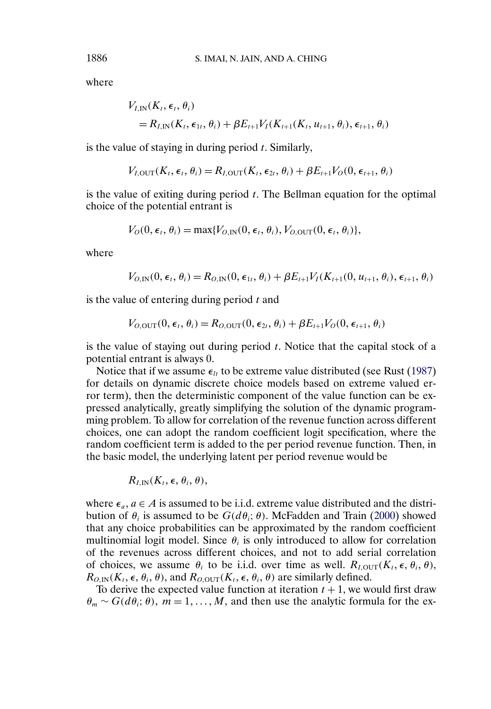where

$$
V_{I,\text{IN}}(K_t, \epsilon_t, \theta_i)
$$
  
=  $R_{I,\text{IN}}(K_t, \epsilon_{1t}, \theta_i) + \beta E_{t+1} V_I(K_{t+1}(K_t, u_{t+1}, \theta_i), \epsilon_{t+1}, \theta_i)$ 

is the value of staying in during period  $t$ . Similarly,

$$
V_{I,\text{OUT}}(K_t,\epsilon_t,\theta_i) = R_{I,\text{OUT}}(K_t,\epsilon_{2t},\theta_i) + \beta E_{t+1} V_O(0,\epsilon_{t+1},\theta_i)
$$

is the value of exiting during period  $t$ . The Bellman equation for the optimal choice of the potential entrant is

$$
V_O(0, \epsilon_t, \theta_i) = \max\{V_{O,IN}(0, \epsilon_t, \theta_i), V_{O,OUT}(0, \epsilon_t, \theta_i)\},\
$$

where

$$
V_{O,\text{IN}}(0,\epsilon_t,\theta_i) = R_{O,\text{IN}}(0,\epsilon_{1t},\theta_i) + \beta E_{t+1} V_I(K_{t+1}(0,u_{t+1},\theta_i),\epsilon_{t+1},\theta_i)
$$

is the value of entering during period  $t$  and

$$
V_{O,\text{OUT}}(0,\epsilon_t,\theta_i) = R_{O,\text{OUT}}(0,\epsilon_{2t},\theta_i) + \beta E_{t+1} V_O(0,\epsilon_{t+1},\theta_i)
$$

is the value of staying out during period  $t$ . Notice that the capital stock of a potential entrant is always 0.

Notice that if we assume  $\epsilon_{tt}$  to be extreme value distributed (see Rust [\(1987\)](#page-35-0) for details on dynamic discrete choice models based on extreme valued error term), then the deterministic component of the value function can be expressed analytically, greatly simplifying the solution of the dynamic programming problem. To allow for correlation of the revenue function across different choices, one can adopt the random coefficient logit specification, where the random coefficient term is added to the per period revenue function. Then, in the basic model, the underlying latent per period revenue would be

$$
R_{I,\mathrm{IN}}(K_t,\epsilon,\theta_i,\theta),
$$

where  $\epsilon_a$ ,  $a \in A$  is assumed to be i.i.d. extreme value distributed and the distribution of  $\theta_i$  is assumed to be  $G(d\theta_i; \theta)$ . McFadden and Train [\(2000\)](#page-34-0) showed that any choice probabilities can be approximated by the random coefficient multinomial logit model. Since  $\theta_i$  is only introduced to allow for correlation of the revenues across different choices, and not to add serial correlation of choices, we assume  $\theta_i$  to be i.i.d. over time as well.  $R_{L\text{OUT}}(K_t, \epsilon, \theta_i, \theta)$ ,  $R_{O,\text{IN}}(K_t, \epsilon, \theta_i, \theta)$ , and  $R_{O,\text{OUT}}(K_t, \epsilon, \theta_i, \theta)$  are similarly defined.

To derive the expected value function at iteration  $t + 1$ , we would first draw  $\theta_m \sim G(d\theta_i; \theta), m = 1, \ldots, M$ , and then use the analytic formula for the ex-

<span id="page-22-0"></span>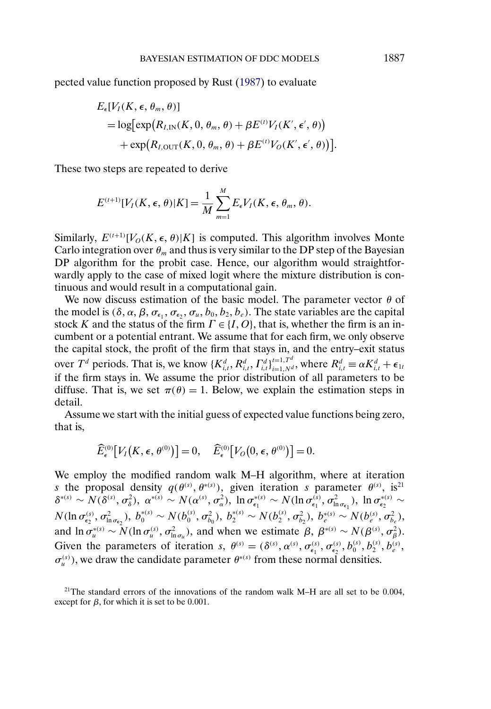pected value function proposed by Rust [\(1987\)](#page-35-0) to evaluate

$$
E_{\epsilon}[V_I(K, \epsilon, \theta_m, \theta)]
$$
  
= log[exp(R\_{I,IN}(K, 0, \theta\_m, \theta) + \beta E^{(t)}V\_I(K', \epsilon', \theta))  
+ exp(R\_{I,OUT}(K, 0, \theta\_m, \theta) + \beta E^{(t)}V\_O(K', \epsilon', \theta))].

These two steps are repeated to derive

$$
E^{(t+1)}[V_I(K,\epsilon,\theta)|K] = \frac{1}{M}\sum_{m=1}^M E_{\epsilon}V_I(K,\epsilon,\theta_m,\theta).
$$

Similarly,  $E^{(t+1)}[V_O(K, \epsilon, \theta)|K]$  is computed. This algorithm involves Monte Carlo integration over  $\theta_m$  and thus is very similar to the DP step of the Bayesian DP algorithm for the probit case. Hence, our algorithm would straightforwardly apply to the case of mixed logit where the mixture distribution is continuous and would result in a computational gain.

We now discuss estimation of the basic model. The parameter vector  $\theta$  of the model is  $(\delta, \alpha, \beta, \sigma_{\epsilon_1}, \sigma_{\epsilon_2}, \sigma_u, b_0, b_2, b_e)$ . The state variables are the capital stock K and the status of the firm  $\Gamma \in \{I, O\}$ , that is, whether the firm is an incumbent or a potential entrant. We assume that for each firm, we only observe the capital stock, the profit of the firm that stays in, and the entry–exit status over  $T^d$  periods. That is, we know  $\{K_{i,t}^d, R_{i,t}^d, \Gamma_{i,t}^d\}_{i=1,N^d}^{t=1,T^d}$ , where  $R_{i,t}^d \equiv \alpha K_{i,t}^d + \epsilon_{1t}$ if the firm stays in. We assume the prior distribution of all parameters to be diffuse. That is, we set  $\pi(\theta) = 1$ . Below, we explain the estimation steps in detail.

Assume we start with the initial guess of expected value functions being zero, that is,

$$
\widehat{E}^{(0)}_{\epsilon}[V_I(K,\epsilon,\theta^{(0)})]=0, \quad \widehat{E}^{(0)}_{\epsilon}[V_O(0,\epsilon,\theta^{(0)})]=0.
$$

We employ the modified random walk M–H algorithm, where at iteration s the proposal density  $q(\theta^{(s)}, \theta^{*(s)})$ , given iteration s parameter  $\theta^{(s)}$ , is<sup>21</sup>  $\delta^{*(s)} \sim N(\delta^{(s)}, \sigma_{\delta}^2), \ \alpha^{*(s)} \sim N(\alpha^{(s)}, \sigma_{\alpha}^2), \ \ln \sigma_{\epsilon_1}^{*(s)} \sim N(\ln \sigma_{\epsilon_1}^{(s)}, \sigma_{\ln \sigma_{\epsilon_1}}^2), \ \ln \sigma_{\epsilon_2}^{*(s)} \sim$  $N(\ln \sigma_{\epsilon_2}^{(s)}, \sigma_{\ln \sigma_{\epsilon_2}}^2), b_0^{*(s)} \sim N(b_0^{(s)}, \sigma_{b_0}^2), b_2^{*(s)} \sim N(b_2^{(s)}, \sigma_{b_2}^2), b_e^{*(s)} \sim N(b_e^{(s)}, \sigma_{b_e}^2),$ and  $\ln \sigma_u^{*(s)} \sim N(\ln \sigma_u^{(s)}, \sigma_{\ln \sigma_u}^2)$ , and when we estimate  $\beta$ ,  $\beta^{*(s)} \sim N(\beta^{(s)}, \sigma_\beta^2)$ . Given the parameters of iteration  $s, \theta^{(s)} = (\delta^{(s)}, \alpha^{(s)}, \sigma_{\epsilon_1}^{(s)}, \sigma_{\epsilon_2}^{(s)}, b_0^{(s)}, b_2^{(s)}, b_{\epsilon}^{(s)},$  $\sigma_u^{(s)}$ , we draw the candidate parameter  $\theta^{*(s)}$  from these normal densities.

<sup>&</sup>lt;sup>21</sup>The standard errors of the innovations of the random walk M–H are all set to be 0.004, except for  $\beta$ , for which it is set to be 0.001.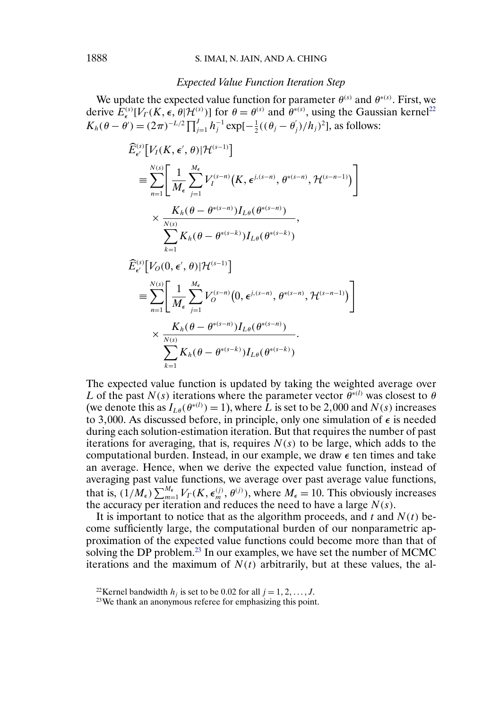## *Expected Value Function Iteration Step*

We update the expected value function for parameter  $\theta^{(s)}$  and  $\theta^{*(s)}$ . First, we derive  $E_{\epsilon}^{(s)}[V_T(K,\epsilon,\theta|\mathcal{H}^{(s)})]$  for  $\theta = \theta^{(s)}$  and  $\theta^{*(s)}$ , using the Gaussian kernel<sup>22</sup>  $K_h(\theta - \theta') = (2\pi)^{-L/2} \prod_{j=1}^J h_j^{-1} \exp[-\frac{1}{2}((\theta_j - \theta'_j)/h_j)^2]$ , as follows:

$$
\widehat{E}_{\epsilon'}^{(s)}\left[V_{I}(K, \epsilon', \theta)|\mathcal{H}^{(s-1)}\right]
$$
\n
$$
\equiv \sum_{n=1}^{N(s)} \left[\frac{1}{M_{\epsilon}} \sum_{j=1}^{M_{\epsilon}} V_{I}^{(s-n)}(K, \epsilon^{j,(s-n)}, \theta^{*(s-n)}, \mathcal{H}^{(s-n-1)})\right]
$$
\n
$$
\times \frac{K_{h}(\theta - \theta^{*(s-n)})I_{L\theta}(\theta^{*(s-n)})}{\sum_{k=1}^{N(s)} K_{h}(\theta - \theta^{*(s-k)})I_{L\theta}(\theta^{*(s-k)})}
$$
\n
$$
\widehat{E}_{\epsilon'}^{(s)}\left[V_{O}(0, \epsilon', \theta)|\mathcal{H}^{(s-1)}\right]
$$
\n
$$
\equiv \sum_{n=1}^{N(s)} \left[\frac{1}{M_{\epsilon}} \sum_{j=1}^{M_{\epsilon}} V_{O}^{(s-n)}(0, \epsilon^{j,(s-n)}, \theta^{*(s-n)}, \mathcal{H}^{(s-n-1)})\right]
$$
\n
$$
\times \frac{K_{h}(\theta - \theta^{*(s-n)})I_{L\theta}(\theta^{*(s-n)})}{\sum_{k=1}^{N(s)} K_{h}(\theta - \theta^{*(s-k)})I_{L\theta}(\theta^{*(s-k)})}
$$

The expected value function is updated by taking the weighted average over L of the past  $N(s)$  iterations where the parameter vector  $\theta^{*(l)}$  was closest to  $\theta$ (we denote this as  $I_{L<sub>θ</sub>}(θ^{*(l)}) = 1$ ), where  $\overline{L}$  is set to be 2,000 and  $N(s)$  increases to 3,000. As discussed before, in principle, only one simulation of  $\epsilon$  is needed during each solution-estimation iteration. But that requires the number of past iterations for averaging, that is, requires  $N(s)$  to be large, which adds to the computational burden. Instead, in our example, we draw  $\epsilon$  ten times and take an average. Hence, when we derive the expected value function, instead of averaging past value functions, we average over past average value functions, that is,  $(1/M_{\epsilon}) \sum_{m=1}^{M_{\epsilon}} V_T(K, \epsilon_m^{(j)}, \theta^{(j)})$ , where  $M_{\epsilon} = 10$ . This obviously increases the accuracy per iteration and reduces the need to have a large  $N(s)$ .

It is important to notice that as the algorithm proceeds, and t and  $N(t)$  become sufficiently large, the computational burden of our nonparametric approximation of the expected value functions could become more than that of solving the DP problem.<sup>23</sup> In our examples, we have set the number of MCMC iterations and the maximum of  $N(t)$  arbitrarily, but at these values, the al-

<sup>&</sup>lt;sup>22</sup>Kernel bandwidth  $h_i$  is set to be 0.02 for all  $j = 1, 2, \ldots, J$ .

<sup>23</sup>We thank an anonymous referee for emphasizing this point.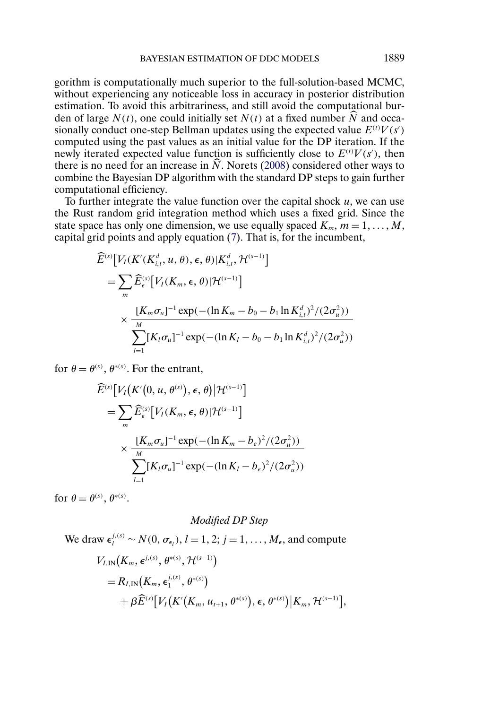<span id="page-25-0"></span>gorithm is computationally much superior to the full-solution-based MCMC, without experiencing any noticeable loss in accuracy in posterior distribution estimation. To avoid this arbitrariness, and still avoid the computational burden of large  $N(t)$ , one could initially set  $N(t)$  at a fixed number  $\hat{N}$  and occasionally conduct one-step Bellman updates using the expected value  $E^{(t)}V(s')$ computed using the past values as an initial value for the DP iteration. If the newly iterated expected value function is sufficiently close to  $E^{(t)}V(s')$ , then there is no need for an increase in  $\hat{N}$ . Norets [\(2008\)](#page-35-0) considered other ways to combine the Bayesian DP algorithm with the standard DP steps to gain further computational efficiency.

To further integrate the value function over the capital shock  $u$ , we can use the Rust random grid integration method which uses a fixed grid. Since the state space has only one dimension, we use equally spaced  $K_m$ ,  $m = 1, \ldots, M$ , capital grid points and apply equation [\(7\)](#page-19-0). That is, for the incumbent,

$$
\widehat{E}^{(s)}[V_I(K'(K_{i,t}^d, u, \theta), \epsilon, \theta)|K_{i,t}^d, \mathcal{H}^{(s-1)}]
$$
\n
$$
= \sum_m \widehat{E}_{\epsilon}^{(s)}[V_I(K_m, \epsilon, \theta)|\mathcal{H}^{(s-1)}]
$$
\n
$$
\times \frac{[K_m \sigma_u]^{-1} \exp(-( \ln K_m - b_0 - b_1 \ln K_{i,t}^d)^2 / (2\sigma_u^2))}{\sum_{l=1}^M [K_l \sigma_u]^{-1} \exp(-( \ln K_l - b_0 - b_1 \ln K_{i,t}^d)^2 / (2\sigma_u^2))}
$$

for  $\theta = \theta^{(s)}$ ,  $\theta^{*(s)}$ . For the entrant,

$$
\widehat{E}^{(s)}\big[V_I\big(K'(0, u, \theta^{(s)}\big), \epsilon, \theta\big) | \mathcal{H}^{(s-1)}\big]
$$
\n
$$
= \sum_m \widehat{E}_{\epsilon}^{(s)}\big[V_I(K_m, \epsilon, \theta)|\mathcal{H}^{(s-1)}\big]
$$
\n
$$
\times \frac{[K_m \sigma_u]^{-1} \exp(-( \ln K_m - b_e)^2 / (2\sigma_u^2))}{\sum_{l=1}^M [K_l \sigma_u]^{-1} \exp(-( \ln K_l - b_e)^2 / (2\sigma_u^2))}
$$

for  $\theta = \theta^{(s)}$ ,  $\theta^{*(s)}$ .

## *Modified DP Step*

We draw  $\epsilon_l^{j,(s)} \sim N(0, \sigma_{\epsilon_l}), l = 1, 2; j = 1, ..., M_{\epsilon}$ , and compute  $V_{I, \mathrm{IN}}\big(K_m, \boldsymbol{\epsilon}^{j, (s)}, \theta^{*(s)}, \mathcal{H}^{(s-1)}\big)$  $=R_{I, \text{IN}}\big(K_m, \epsilon_1^{j, (s)}, \theta^{*(s)}\big)$  $+ \beta \widehat{E}^{(s)}\big[V_I\big(K'(K_m,u_{t+1},\theta^{*(s)}\big),\epsilon,\theta^{*(s)}\big)\big|K_m,\mathcal{H}^{(s-1)}\big],$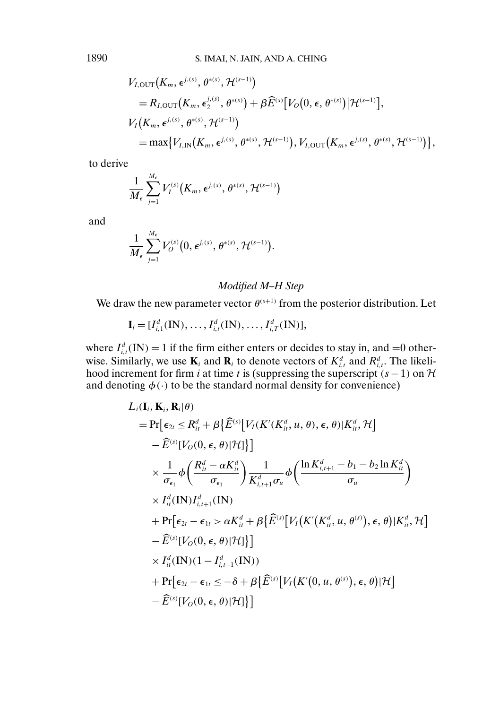$$
V_{I,\text{OUT}}(K_m, \epsilon^{j,(s)}, \theta^{*(s)}, \mathcal{H}^{(s-1)})
$$
  
=  $R_{I,\text{OUT}}(K_m, \epsilon_2^{j,(s)}, \theta^{*(s)}) + \beta \widehat{E}^{(s)}[V_O(0, \epsilon, \theta^{*(s)}) | \mathcal{H}^{(s-1)}],$   

$$
V_I(K_m, \epsilon^{j,(s)}, \theta^{*(s)}, \mathcal{H}^{(s-1)})
$$
  
=  $\max\{V_{I,\text{IN}}(K_m, \epsilon^{j,(s)}, \theta^{*(s)}, \mathcal{H}^{(s-1)}), V_{I,\text{OUT}}(K_m, \epsilon^{j,(s)}, \theta^{*(s)}, \mathcal{H}^{(s-1)})\},$ 

to derive

$$
\frac{1}{M_{\epsilon}}\sum_{j=1}^{M_{\epsilon}}V'_{I}(K_{m},\epsilon^{j,(s)},\theta^{*(s)},\mathcal{H}^{(s-1)})
$$

and

$$
\frac{1}{M_{\epsilon}}\sum_{j=1}^{M_{\epsilon}}V^{(s)}_O\big(0,\epsilon^{j,(s)},\theta^{*(s)},\mathcal{H}^{(s-1)}\big).
$$

*Modified M–H Step*

We draw the new parameter vector  $\theta^{(s+1)}$  from the posterior distribution. Let

$$
\mathbf{I}_{i} = [I_{i,1}^{d}(\mathbf{IN}), \ldots, I_{i,t}^{d}(\mathbf{IN}), \ldots, I_{i,T}^{d}(\mathbf{IN})],
$$

where  $I_{i,t}^d(N) = 1$  if the firm either enters or decides to stay in, and  $=0$  otherwise. Similarly, we use  $\mathbf{K}_i$  and  $\mathbf{R}_i$  to denote vectors of  $K_{i,t}^d$  and  $R_{i,t}^d$ . The likelihood increment for firm *i* at time *t* is (suppressing the superscript  $(s - 1)$  on H and denoting  $\phi(\cdot)$  to be the standard normal density for convenience)

$$
L_i(\mathbf{I}_i, \mathbf{K}_i, \mathbf{R}_i | \theta)
$$
  
\n=  $\Pr[\epsilon_{2t} \leq R_{it}^d + \beta \{\widehat{E}^{(s)}[V_I(K'(K_{it}^d, u, \theta), \epsilon, \theta)|K_{it}^d, \mathcal{H}] - \widehat{E}^{(s)}[V_O(0, \epsilon, \theta)|\mathcal{H}]\}]$   
\n $\times \frac{1}{\sigma_{\epsilon_1}} \phi \left( \frac{R_{it}^d - \alpha K_{it}^d}{\sigma_{\epsilon_1}} \right) \frac{1}{K_{i,t+1}^d \sigma_u} \phi \left( \frac{\ln K_{i,t+1}^d - b_1 - b_2 \ln K_{it}^d}{\sigma_u} \right)$   
\n $\times I_{it}^d(\text{IN}) I_{i,t+1}^d(\text{IN})$   
\n+  $\Pr[\epsilon_{2t} - \epsilon_{1t} > \alpha K_{it}^d + \beta \{\widehat{E}^{(s)}[V_I(K'(K_{it}^d, u, \theta^{(s)}), \epsilon, \theta)|K_{it}^d, \mathcal{H}] - \widehat{E}^{(s)}[V_O(0, \epsilon, \theta)|\mathcal{H}]\}]$   
\n $\times I_{it}^d(\text{IN})(1 - I_{i,t+1}^d(\text{IN}))$   
\n+  $\Pr[\epsilon_{2t} - \epsilon_{1t} \leq -\delta + \beta \{\widehat{E}^{(s)}[V_I(K'(0, u, \theta^{(s)}), \epsilon, \theta)|\mathcal{H}]$   
\n-  $\widehat{E}^{(s)}[V_O(0, \epsilon, \theta)|\mathcal{H}]\}]$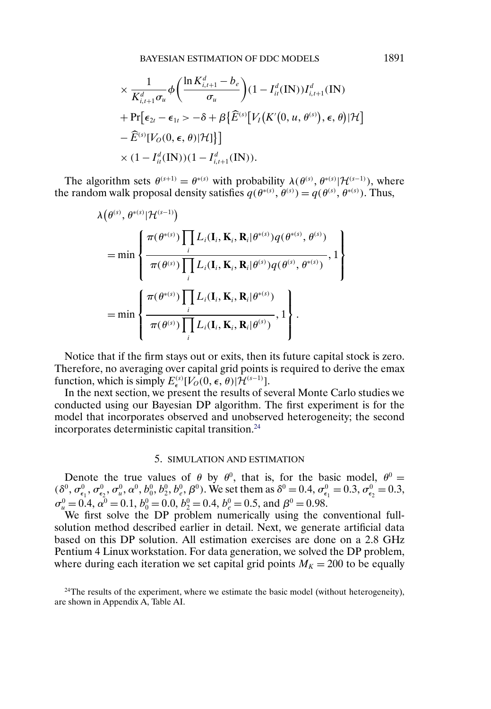<span id="page-27-0"></span>
$$
\times \frac{1}{K_{i,t+1}^d \sigma_u} \phi \left( \frac{\ln K_{i,t+1}^d - b_e}{\sigma_u} \right) (1 - I_{it}^d(\text{IN})) I_{i,t+1}^d(\text{IN})
$$
  
+ 
$$
\Pr \left[ \epsilon_{2t} - \epsilon_{1t} > -\delta + \beta \{ \widehat{E}^{(s)} \left[ V_I \left( K'(0, u, \theta^{(s)}) , \epsilon , \theta \right) | \mathcal{H} \right] \right]
$$
  
- 
$$
\widehat{E}^{(s)} \left[ V_O(0, \epsilon , \theta) | \mathcal{H} \right] \} \right]
$$
  
× 
$$
(1 - I_{it}^d(\text{IN})) (1 - I_{i,t+1}^d(\text{IN})).
$$

The algorithm sets  $\theta^{(s+1)} = \theta^{*(s)}$  with probability  $\lambda(\theta^{(s)}, \theta^{*(s)} | \mathcal{H}^{(s-1)})$ , where the random walk proposal density satisfies  $q(\theta^{*(s)}, \theta^{(s)}) = q(\theta^{(s)}, \theta^{*(s)})$ . Thus,

$$
\lambda(\theta^{(s)}, \theta^{*(s)} | \mathcal{H}^{(s-1)})
$$
\n
$$
= \min \left\{ \frac{\pi(\theta^{*(s)}) \prod_{i} L_i(\mathbf{I}_i, \mathbf{K}_i, \mathbf{R}_i | \theta^{*(s)}) q(\theta^{*(s)}, \theta^{(s)})}{\pi(\theta^{(s)}) \prod_{i} L_i(\mathbf{I}_i, \mathbf{K}_i, \mathbf{R}_i | \theta^{(s)}) q(\theta^{(s)}, \theta^{*(s)})}, 1 \right\}
$$
\n
$$
= \min \left\{ \frac{\pi(\theta^{*(s)}) \prod_{i} L_i(\mathbf{I}_i, \mathbf{K}_i, \mathbf{R}_i | \theta^{*(s)})}{\pi(\theta^{(s)}) \prod_{i} L_i(\mathbf{I}_i, \mathbf{K}_i, \mathbf{R}_i | \theta^{(s)})}, 1 \right\}.
$$

Notice that if the firm stays out or exits, then its future capital stock is zero. Therefore, no averaging over capital grid points is required to derive the emax function, which is simply  $E_{\epsilon}^{(s)}[V_O(0, \epsilon, \theta)|\mathcal{H}^{(s-1)}]$ .

In the next section, we present the results of several Monte Carlo studies we conducted using our Bayesian DP algorithm. The first experiment is for the model that incorporates observed and unobserved heterogeneity; the second incorporates deterministic capital transition.24

## 5. SIMULATION AND ESTIMATION

Denote the true values of  $\theta$  by  $\theta^0$ , that is, for the basic model,  $\theta^0$  =  $(\delta^0, \sigma_{\epsilon_1}^0, \sigma_{\epsilon_2}^0, \sigma_u^0, \sigma_u^0, \sigma_v^0, \sigma_v^0, \sigma_v^0, \sigma_v^0)$ . We set them as  $\delta^0 = 0.4$ ,  $\sigma_{\epsilon_1}^0 = 0.3$ ,  $\sigma_{\epsilon_2}^0 = 0.3$ ,  $\sigma_u^0 = 0.4$ ,  $\alpha^0 = 0.1$ ,  $b_0^0 = 0.0$ ,  $b_2^0 = 0.4$ ,  $b_e^0 = 0.5$ , and  $\beta^0 = 0.98$ .

We first solve the DP problem numerically using the conventional fullsolution method described earlier in detail. Next, we generate artificial data based on this DP solution. All estimation exercises are done on a 28 GHz Pentium 4 Linux workstation. For data generation, we solved the DP problem, where during each iteration we set capital grid points  $M_K = 200$  to be equally

 $24$ The results of the experiment, where we estimate the basic model (without heterogeneity), are shown in Appendix A, Table AI.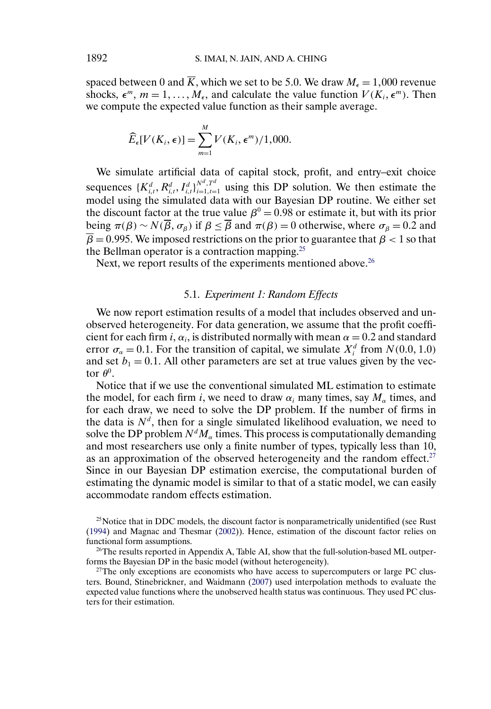<span id="page-28-0"></span>spaced between 0 and  $\overline{K}$ , which we set to be 5.0. We draw  $M_{\epsilon} = 1,000$  revenue shocks,  $\epsilon^m$ ,  $m = 1, ..., M_{\epsilon}$ , and calculate the value function  $V(K_i, \epsilon^m)$ . Then we compute the expected value function as their sample average.

$$
\widehat{E}_{\epsilon}[V(K_i,\epsilon)] = \sum_{m=1}^{M} V(K_i,\epsilon^m)/1,000.
$$

We simulate artificial data of capital stock, profit, and entry–exit choice sequences  $\{K_{i,t}^d, R_{i,t}^d, I_{i,t}^d\}_{i=1,t=1}^{N^d, T^d}$  using this DP solution. We then estimate the model using the simulated data with our Bayesian DP routine. We either set the discount factor at the true value  $\beta^0 = 0.98$  or estimate it, but with its prior being  $\pi(\beta) \sim N(\overline{\beta}, \sigma_{\beta})$  if  $\beta \leq \overline{\beta}$  and  $\pi(\beta) = 0$  otherwise, where  $\sigma_{\beta} = 0.2$  and  $\overline{\beta}$  = 0.995. We imposed restrictions on the prior to guarantee that  $\beta$  < 1 so that the Bellman operator is a contraction mapping.<sup>25</sup>

Next, we report results of the experiments mentioned above.<sup>26</sup>

## 5.1. *Experiment 1: Random Effects*

We now report estimation results of a model that includes observed and unobserved heterogeneity. For data generation, we assume that the profit coefficient for each firm i,  $\alpha_i$ , is distributed normally with mean  $\alpha = 0.2$  and standard error  $\sigma_{\alpha} = 0.1$ . For the transition of capital, we simulate  $X_i^d$  from  $N(0.0, 1.0)$ and set  $b_1 = 0.1$ . All other parameters are set at true values given by the vector  $\theta^0$ .

Notice that if we use the conventional simulated ML estimation to estimate the model, for each firm i, we need to draw  $\alpha_i$  many times, say  $M_\alpha$  times, and for each draw, we need to solve the DP problem. If the number of firms in the data is  $N<sup>d</sup>$ , then for a single simulated likelihood evaluation, we need to solve the DP problem  $N^d M_\alpha$  times. This process is computationally demanding and most researchers use only a finite number of types, typically less than 10, as an approximation of the observed heterogeneity and the random effect.<sup>27</sup> Since in our Bayesian DP estimation exercise, the computational burden of estimating the dynamic model is similar to that of a static model, we can easily accommodate random effects estimation.

 $25$ Notice that in DDC models, the discount factor is nonparametrically unidentified (see Rust [\(1994\)](#page-35-0) and Magnac and Thesmar [\(2002\)](#page-34-0)). Hence, estimation of the discount factor relies on functional form assumptions.

 $^{26}$ The results reported in Appendix A, Table AI, show that the full-solution-based ML outperforms the Bayesian DP in the basic model (without heterogeneity).

 $27$ The only exceptions are economists who have access to supercomputers or large PC clusters. Bound, Stinebrickner, and Waidmann [\(2007\)](#page-33-0) used interpolation methods to evaluate the expected value functions where the unobserved health status was continuous. They used PC clusters for their estimation.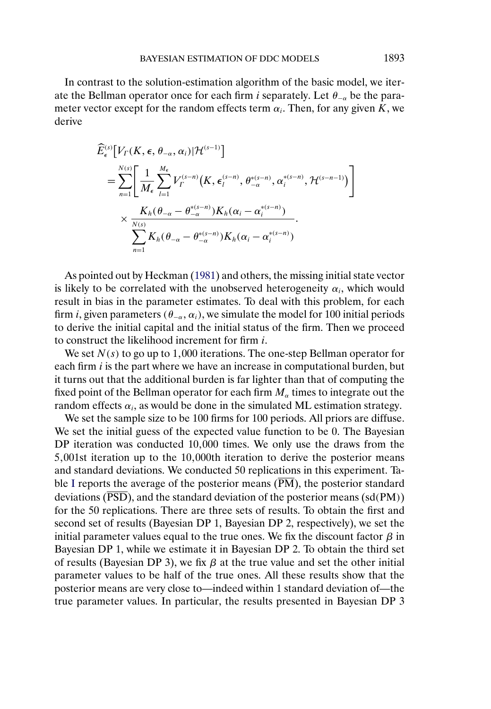<span id="page-29-0"></span>In contrast to the solution-estimation algorithm of the basic model, we iterate the Bellman operator once for each firm *i* separately. Let  $\theta_{-\alpha}$  be the parameter vector except for the random effects term  $\alpha_i$ . Then, for any given K, we derive

$$
\widehat{E}_{\epsilon}^{(s)}\left[V_{\Gamma}(K,\epsilon,\theta_{-\alpha},\alpha_{i})|\mathcal{H}^{(s-1)}\right]
$$
\n
$$
=\sum_{n=1}^{N(s)}\left[\frac{1}{M_{\epsilon}}\sum_{l=1}^{M_{\epsilon}}V_{\Gamma}^{(s-n)}\left(K,\epsilon_{l}^{(s-n)},\theta_{-\alpha}^{*(s-n)},\alpha_{i}^{*(s-n)},\mathcal{H}^{(s-n-1)}\right)\right]
$$
\n
$$
\times\frac{K_{h}(\theta_{-\alpha}-\theta_{-\alpha}^{*(s-n)})K_{h}(\alpha_{i}-\alpha_{i}^{*(s-n)})}{\sum_{n=1}^{N(s)}K_{h}(\theta_{-\alpha}-\theta_{-\alpha}^{*(s-n)})K_{h}(\alpha_{i}-\alpha_{i}^{*(s-n)})}.
$$

As pointed out by Heckman [\(1981\)](#page-34-0) and others, the missing initial state vector is likely to be correlated with the unobserved heterogeneity  $\alpha_i$ , which would result in bias in the parameter estimates. To deal with this problem, for each firm *i*, given parameters ( $\theta_{-\alpha}$ ,  $\alpha_i$ ), we simulate the model for 100 initial periods to derive the initial capital and the initial status of the firm. Then we proceed to construct the likelihood increment for firm i.

We set  $N(s)$  to go up to 1,000 iterations. The one-step Bellman operator for each firm  $i$  is the part where we have an increase in computational burden, but it turns out that the additional burden is far lighter than that of computing the fixed point of the Bellman operator for each firm  $M_{\alpha}$  times to integrate out the random effects  $\alpha_i$ , as would be done in the simulated ML estimation strategy.

We set the sample size to be 100 firms for 100 periods. All priors are diffuse. We set the initial guess of the expected value function to be 0. The Bayesian DP iteration was conducted  $10,000$  times. We only use the draws from the  $5,001$ st iteration up to the  $10,000$ th iteration to derive the posterior means and standard deviations. We conducted 50 replications in this experiment. Ta-ble [I](#page-30-0) reports the average of the posterior means  $(\overline{PM})$ , the posterior standard deviations  $(\overline{PSD})$ , and the standard deviation of the posterior means (sd(PM)) for the 50 replications. There are three sets of results. To obtain the first and second set of results (Bayesian DP 1, Bayesian DP 2, respectively), we set the initial parameter values equal to the true ones. We fix the discount factor  $\beta$  in Bayesian DP 1, while we estimate it in Bayesian DP 2. To obtain the third set of results (Bayesian DP 3), we fix  $\beta$  at the true value and set the other initial parameter values to be half of the true ones. All these results show that the posterior means are very close to—indeed within 1 standard deviation of—the true parameter values. In particular, the results presented in Bayesian DP 3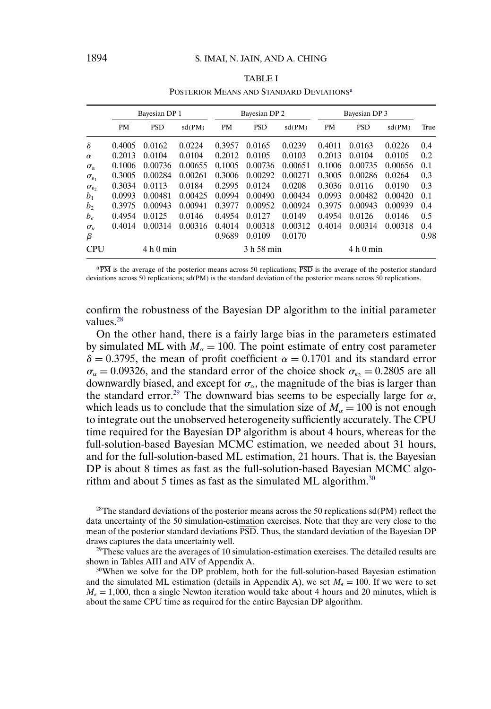<span id="page-30-0"></span>

|                       | Bayesian DP 1 |                  |         | Bayesian DP 2 |                  |         | Bayesian DP 3 |                  |         |      |
|-----------------------|---------------|------------------|---------|---------------|------------------|---------|---------------|------------------|---------|------|
|                       | PM            | $\overline{PSD}$ | sd(PM)  | PM            | $\overline{PSD}$ | sd(PM)  | PM            | $\overline{PSD}$ | sd(PM)  | True |
| δ                     | 0.4005        | 0.0162           | 0.0224  | 0.3957        | 0.0165           | 0.0239  | 0.4011        | 0.0163           | 0.0226  | 0.4  |
| $\alpha$              | 0.2013        | 0.0104           | 0.0104  | 0.2012        | 0.0105           | 0.0103  | 0.2013        | 0.0104           | 0.0105  | 0.2  |
| $\sigma_{\alpha}$     | 0.1006        | 0.00736          | 0.00655 | 0.1005        | 0.00736          | 0.00651 | 0.1006        | 0.00735          | 0.00656 | 0.1  |
| $\sigma_{\epsilon_1}$ | 0.3005        | 0.00284          | 0.00261 | 0.3006        | 0.00292          | 0.00271 | 0.3005        | 0.00286          | 0.0264  | 0.3  |
| $\sigma_{\epsilon}$   | 0.3034        | 0.0113           | 0.0184  | 0.2995        | 0.0124           | 0.0208  | 0.3036        | 0.0116           | 0.0190  | 0.3  |
| b <sub>1</sub>        | 0.0993        | 0.00481          | 0.00425 | 0.0994        | 0.00490          | 0.00434 | 0.0993        | 0.00482          | 0.00420 | 0.1  |
| b <sub>2</sub>        | 0.3975        | 0.00943          | 0.00941 | 0.3977        | 0.00952          | 0.00924 | 0.3975        | 0.00943          | 0.00939 | 0.4  |
| $b_e$                 | 0.4954        | 0.0125           | 0.0146  | 0.4954        | 0.0127           | 0.0149  | 0.4954        | 0.0126           | 0.0146  | 0.5  |
| $\sigma_u$            | 0.4014        | 0.00314          | 0.00316 | 0.4014        | 0.00318          | 0.00312 | 0.4014        | 0.00314          | 0.00318 | 0.4  |
| β                     |               |                  |         | 0.9689        | 0.0109           | 0.0170  |               |                  |         | 0.98 |
| <b>CPU</b>            |               | 4h0min           |         | 3 h 58 min    |                  |         | 4h0min        |                  |         |      |

TABLE I POSTERIOR MEANS AND STANDARD DEVIATIONS<sup>a</sup>

 $a\overline{PM}$  is the average of the posterior means across 50 replications;  $\overline{PSD}$  is the average of the posterior standard deviations across 50 replications; sd(PM) is the standard deviation of the posterior means across 50 replications.

confirm the robustness of the Bayesian DP algorithm to the initial parameter values.28

On the other hand, there is a fairly large bias in the parameters estimated by simulated ML with  $M_\alpha = 100$ . The point estimate of entry cost parameter  $\delta = 0.3795$ , the mean of profit coefficient  $\alpha = 0.1701$  and its standard error  $\sigma_{\rm g} = 0.09326$ , and the standard error of the choice shock  $\sigma_{\rm g} = 0.2805$  are all downwardly biased, and except for  $\sigma_{\alpha}$ , the magnitude of the bias is larger than the standard error.<sup>29</sup> The downward bias seems to be especially large for  $\alpha$ , which leads us to conclude that the simulation size of  $M_a = 100$  is not enough to integrate out the unobserved heterogeneity sufficiently accurately. The CPU time required for the Bayesian DP algorithm is about 4 hours, whereas for the full-solution-based Bayesian MCMC estimation, we needed about 31 hours, and for the full-solution-based ML estimation, 21 hours. That is, the Bayesian DP is about 8 times as fast as the full-solution-based Bayesian MCMC algorithm and about 5 times as fast as the simulated ML algorithm.<sup>30</sup>

<sup>28</sup>The standard deviations of the posterior means across the 50 replications sd(PM) reflect the data uncertainty of the 50 simulation-estimation exercises. Note that they are very close to the mean of the posterior standard deviations  $\overline{PSD}$ . Thus, the standard deviation of the Bayesian DP draws captures the data uncertainty well.

 $29$ These values are the averages of 10 simulation-estimation exercises. The detailed results are shown in Tables AIII and AIV of Appendix A.

30When we solve for the DP problem, both for the full-solution-based Bayesian estimation and the simulated ML estimation (details in Appendix A), we set  $M_{\epsilon} = 100$ . If we were to set  $M_{\epsilon} = 1,000$ , then a single Newton iteration would take about 4 hours and 20 minutes, which is about the same CPU time as required for the entire Bayesian DP algorithm.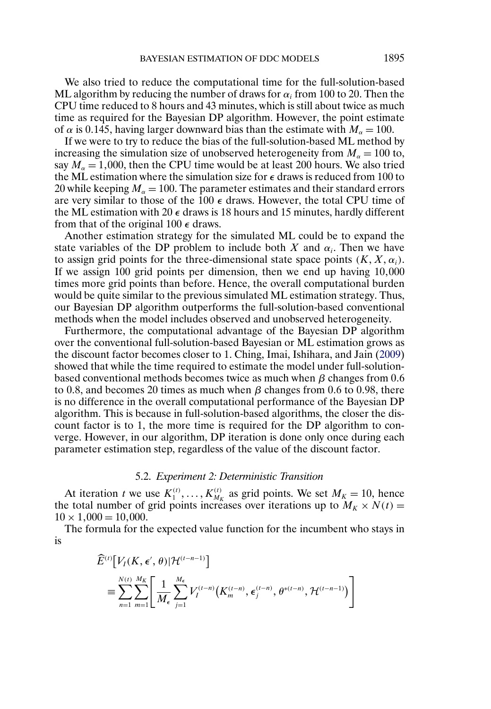<span id="page-31-0"></span>We also tried to reduce the computational time for the full-solution-based ML algorithm by reducing the number of draws for  $\alpha_i$  from 100 to 20. Then the CPU time reduced to 8 hours and 43 minutes, which is still about twice as much time as required for the Bayesian DP algorithm. However, the point estimate of  $\alpha$  is 0.145, having larger downward bias than the estimate with  $M_{\alpha} = 100$ .

If we were to try to reduce the bias of the full-solution-based ML method by increasing the simulation size of unobserved heterogeneity from  $M_\alpha = 100$  to, say  $M_\alpha = 1,000$ , then the CPU time would be at least 200 hours. We also tried the ML estimation where the simulation size for  $\epsilon$  draws is reduced from 100 to 20 while keeping  $M_{\alpha} = 100$ . The parameter estimates and their standard errors are very similar to those of the 100  $\epsilon$  draws. However, the total CPU time of the ML estimation with 20  $\epsilon$  draws is 18 hours and 15 minutes, hardly different from that of the original 100  $\epsilon$  draws.

Another estimation strategy for the simulated ML could be to expand the state variables of the DP problem to include both X and  $\alpha_i$ . Then we have to assign grid points for the three-dimensional state space points  $(K, X, \alpha_i)$ . If we assign 100 grid points per dimension, then we end up having  $10,000$ times more grid points than before. Hence, the overall computational burden would be quite similar to the previous simulated ML estimation strategy. Thus, our Bayesian DP algorithm outperforms the full-solution-based conventional methods when the model includes observed and unobserved heterogeneity.

Furthermore, the computational advantage of the Bayesian DP algorithm over the conventional full-solution-based Bayesian or ML estimation grows as the discount factor becomes closer to 1. Ching, Imai, Ishihara, and Jain [\(2009\)](#page-34-0) showed that while the time required to estimate the model under full-solutionbased conventional methods becomes twice as much when  $\beta$  changes from 0.6 to 0.8, and becomes 20 times as much when  $\beta$  changes from 0.6 to 0.98, there is no difference in the overall computational performance of the Bayesian DP algorithm. This is because in full-solution-based algorithms, the closer the discount factor is to 1, the more time is required for the DP algorithm to converge. However, in our algorithm, DP iteration is done only once during each parameter estimation step, regardless of the value of the discount factor.

#### 5.2. *Experiment 2: Deterministic Transition*

At iteration t we use  $K_1^{(t)}, \ldots, K_{M_K}^{(t)}$  as grid points. We set  $M_K = 10$ , hence the total number of grid points increases over iterations up to  $M_K \times N(t) =$  $10 \times 1,000 = 10,000.$ 

The formula for the expected value function for the incumbent who stays in is

$$
\widehat{E}^{(t)}[V_I(K, \epsilon', \theta)|\mathcal{H}^{(t-n-1)}]
$$
\n
$$
\equiv \sum_{n=1}^{N(t)} \sum_{m=1}^{M_K} \left[ \frac{1}{M_{\epsilon}} \sum_{j=1}^{M_{\epsilon}} V_I^{(t-n)}(K_m^{(t-n)}, \epsilon_j^{(t-n)}, \theta^{*(t-n)}, \mathcal{H}^{(t-n-1)}) \right]
$$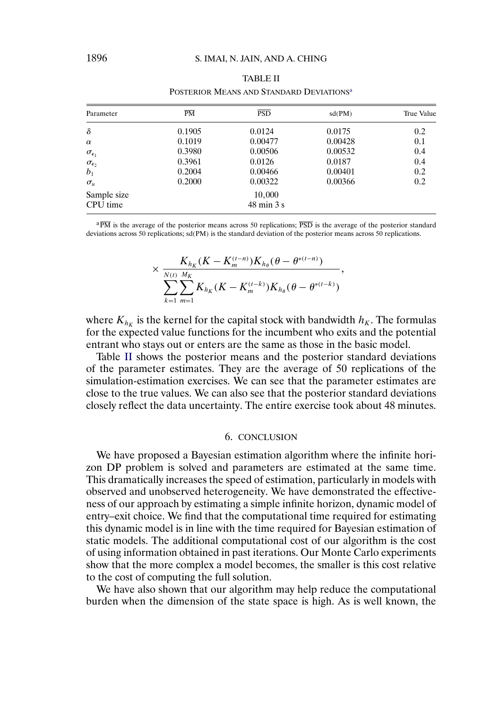<span id="page-32-0"></span>

| Parameter             | PM     | $\overline{PSD}$              | sd(PM)  | True Value |
|-----------------------|--------|-------------------------------|---------|------------|
| δ                     | 0.1905 | 0.0124                        | 0.0175  | 0.2        |
| $\alpha$              | 0.1019 | 0.00477                       | 0.00428 | 0.1        |
| $\sigma_{\epsilon_1}$ | 0.3980 | 0.00506                       | 0.00532 | 0.4        |
| $\sigma_{\epsilon_2}$ | 0.3961 | 0.0126                        | 0.0187  | 0.4        |
| b <sub>1</sub>        | 0.2004 | 0.00466                       | 0.00401 | 0.2        |
| $\sigma_u$            | 0.2000 | 0.00322                       | 0.00366 | 0.2        |
| Sample size           |        | 10,000                        |         |            |
| CPU time              |        | $48 \text{ min } 3 \text{ s}$ |         |            |

## TABLE II POSTERIOR MEANS AND STANDARD DEVIATIONS<sup>a</sup>

 $a_{\overline{PM}}$  is the average of the posterior means across 50 replications;  $\overline{PSD}$  is the average of the posterior standard deviations across 50 replications; sd(PM) is the standard deviation of the posterior means across 50 replications.

$$
\times \frac{K_{h_K}(K-K_m^{(t-n)})K_{h_\theta}(\theta-\theta^{*(t-n)})}{\sum_{k=1}^{N(t)}\sum_{m=1}^{M_K}K_{h_K}(K-K_m^{(t-k)})K_{h_\theta}(\theta-\theta^{*(t-k)})},
$$

where  $K_{hv}$  is the kernel for the capital stock with bandwidth  $h_K$ . The formulas for the expected value functions for the incumbent who exits and the potential entrant who stays out or enters are the same as those in the basic model.

Table II shows the posterior means and the posterior standard deviations of the parameter estimates. They are the average of 50 replications of the simulation-estimation exercises. We can see that the parameter estimates are close to the true values. We can also see that the posterior standard deviations closely reflect the data uncertainty. The entire exercise took about 48 minutes.

## 6. CONCLUSION

We have proposed a Bayesian estimation algorithm where the infinite horizon DP problem is solved and parameters are estimated at the same time. This dramatically increases the speed of estimation, particularly in models with observed and unobserved heterogeneity. We have demonstrated the effectiveness of our approach by estimating a simple infinite horizon, dynamic model of entry–exit choice. We find that the computational time required for estimating this dynamic model is in line with the time required for Bayesian estimation of static models. The additional computational cost of our algorithm is the cost of using information obtained in past iterations. Our Monte Carlo experiments show that the more complex a model becomes, the smaller is this cost relative to the cost of computing the full solution.

We have also shown that our algorithm may help reduce the computational burden when the dimension of the state space is high. As is well known, the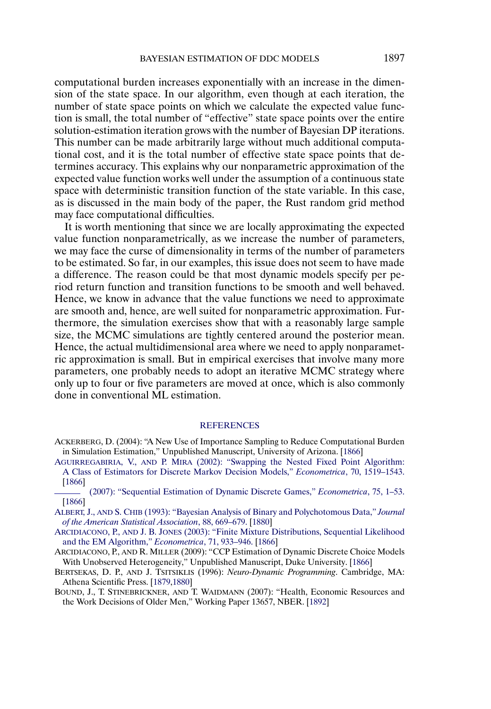<span id="page-33-0"></span>computational burden increases exponentially with an increase in the dimension of the state space. In our algorithm, even though at each iteration, the number of state space points on which we calculate the expected value function is small, the total number of "effective" state space points over the entire solution-estimation iteration grows with the number of Bayesian DP iterations. This number can be made arbitrarily large without much additional computational cost, and it is the total number of effective state space points that determines accuracy. This explains why our nonparametric approximation of the expected value function works well under the assumption of a continuous state space with deterministic transition function of the state variable. In this case, as is discussed in the main body of the paper, the Rust random grid method may face computational difficulties.

It is worth mentioning that since we are locally approximating the expected value function nonparametrically, as we increase the number of parameters, we may face the curse of dimensionality in terms of the number of parameters to be estimated. So far, in our examples, this issue does not seem to have made a difference. The reason could be that most dynamic models specify per period return function and transition functions to be smooth and well behaved. Hence, we know in advance that the value functions we need to approximate are smooth and, hence, are well suited for nonparametric approximation. Furthermore, the simulation exercises show that with a reasonably large sample size, the MCMC simulations are tightly centered around the posterior mean. Hence, the actual multidimensional area where we need to apply nonparametric approximation is small. But in empirical exercises that involve many more parameters, one probably needs to adopt an iterative MCMC strategy where only up to four or five parameters are moved at once, which is also commonly done in conventional ML estimation.

#### **[REFERENCES](http://www.e-publications.org/srv/ecta/linkserver/setprefs?rfe_id=urn:sici%2F0012-9682%28200911%2977%3A6%3C1865%3ABEODDC%3E2.0.CO%3B2-D)**

- AGUIRREGABIRIA, V., AND P. MIRA [\(2002\): "Swapping the Nested Fixed Point Algorithm:](http://www.e-publications.org/srv/ecta/linkserver/openurl?rft_dat=bib:2/AguMir2002&rfe_id=urn:sici%2F0012-9682%28200911%2977%3A6%3C1865%3ABEODDC%3E2.0.CO%3B2-D) [A Class of Estimators for Discrete Markov Decision Models,"](http://www.e-publications.org/srv/ecta/linkserver/openurl?rft_dat=bib:2/AguMir2002&rfe_id=urn:sici%2F0012-9682%28200911%2977%3A6%3C1865%3ABEODDC%3E2.0.CO%3B2-D) *Econometrica*, 70, 1519–1543. [\[1866\]](#page-2-0)
- [\(2007\): "Sequential Estimation of Dynamic Discrete Games,"](http://www.e-publications.org/srv/ecta/linkserver/openurl?rft_dat=bib:3/AguMir2007&rfe_id=urn:sici%2F0012-9682%28200911%2977%3A6%3C1865%3ABEODDC%3E2.0.CO%3B2-D) *Econometrica*, 75, 1–53. [\[1866\]](#page-2-0)
- ALBERT, J., AND S. CHIB [\(1993\): "Bayesian Analysis of Binary and Polychotomous Data,"](http://www.e-publications.org/srv/ecta/linkserver/openurl?rft_dat=bib:4/AlbChi1993&rfe_id=urn:sici%2F0012-9682%28200911%2977%3A6%3C1865%3ABEODDC%3E2.0.CO%3B2-D) *Journal [of the American Statistical Association](http://www.e-publications.org/srv/ecta/linkserver/openurl?rft_dat=bib:4/AlbChi1993&rfe_id=urn:sici%2F0012-9682%28200911%2977%3A6%3C1865%3ABEODDC%3E2.0.CO%3B2-D)*, 88, 669–679. [\[1880\]](#page-16-0)
- ARCIDIACONO, P., AND J. B. JONES [\(2003\): "Finite Mixture Distributions, Sequential Likelihood](http://www.e-publications.org/srv/ecta/linkserver/openurl?rft_dat=bib:5/ArcJon2003&rfe_id=urn:sici%2F0012-9682%28200911%2977%3A6%3C1865%3ABEODDC%3E2.0.CO%3B2-D) [and the EM Algorithm,"](http://www.e-publications.org/srv/ecta/linkserver/openurl?rft_dat=bib:5/ArcJon2003&rfe_id=urn:sici%2F0012-9682%28200911%2977%3A6%3C1865%3ABEODDC%3E2.0.CO%3B2-D) *Econometrica*, 71, 933–946. [\[1866\]](#page-2-0)
- ARCIDIACONO, P., AND R. MILLER (2009): "CCP Estimation of Dynamic Discrete Choice Models With Unobserved Heterogeneity," Unpublished Manuscript, Duke University. [\[1866\]](#page-2-0)
- BERTSEKAS, D. P., AND J. TSITSIKLIS (1996): *Neuro-Dynamic Programming*. Cambridge, MA: Athena Scientific Press. [\[1879,1880\]](#page-15-0)
- BOUND, J., T. STINEBRICKNER, AND T. WAIDMANN (2007): "Health, Economic Resources and the Work Decisions of Older Men," Working Paper 13657, NBER. [\[1892\]](#page-28-0)

ACKERBERG, D. (2004): "A New Use of Importance Sampling to Reduce Computational Burden in Simulation Estimation," Unpublished Manuscript, University of Arizona. [\[1866\]](#page-2-0)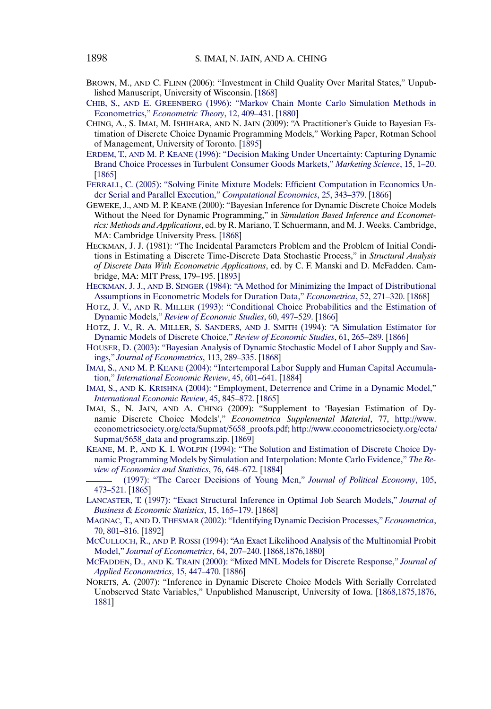- <span id="page-34-0"></span>BROWN, M., AND C. FLINN (2006): "Investment in Child Quality Over Marital States," Unpublished Manuscript, University of Wisconsin. [\[1868\]](#page-4-0)
- CHIB, S., AND E. GREENBERG [\(1996\): "Markov Chain Monte Carlo Simulation Methods in](http://www.e-publications.org/srv/ecta/linkserver/openurl?rft_dat=bib:10/ChiGre1996&rfe_id=urn:sici%2F0012-9682%28200911%2977%3A6%3C1865%3ABEODDC%3E2.0.CO%3B2-D) Econometrics," *[Econometric Theory](http://www.e-publications.org/srv/ecta/linkserver/openurl?rft_dat=bib:10/ChiGre1996&rfe_id=urn:sici%2F0012-9682%28200911%2977%3A6%3C1865%3ABEODDC%3E2.0.CO%3B2-D)*, 12, 409–431. [\[1880\]](#page-16-0)
- CHING, A., S. IMAI, M. ISHIHARA, AND N. JAIN (2009): "A Practitioner's Guide to Bayesian Estimation of Discrete Choice Dynamic Programming Models," Working Paper, Rotman School of Management, University of Toronto. [\[1895\]](#page-31-0)
- ERDEM, T., AND M. P. KEANE [\(1996\): "Decision Making Under Uncertainty: Capturing Dynamic](http://www.e-publications.org/srv/ecta/linkserver/openurl?rft_dat=bib:12/ErdKea1996&rfe_id=urn:sici%2F0012-9682%28200911%2977%3A6%3C1865%3ABEODDC%3E2.0.CO%3B2-D) [Brand Choice Processes in Turbulent Consumer Goods Markets,"](http://www.e-publications.org/srv/ecta/linkserver/openurl?rft_dat=bib:12/ErdKea1996&rfe_id=urn:sici%2F0012-9682%28200911%2977%3A6%3C1865%3ABEODDC%3E2.0.CO%3B2-D) *Marketing Science*, 15, 1–20. [\[1865\]](#page-1-0)
- [FERRALL, C. \(2005\): "Solving Finite Mixture Models: Efficient Computation in Economics Un](http://www.e-publications.org/srv/ecta/linkserver/openurl?rft_dat=bib:13/Fer2005&rfe_id=urn:sici%2F0012-9682%28200911%2977%3A6%3C1865%3ABEODDC%3E2.0.CO%3B2-D)[der Serial and Parallel Execution,"](http://www.e-publications.org/srv/ecta/linkserver/openurl?rft_dat=bib:13/Fer2005&rfe_id=urn:sici%2F0012-9682%28200911%2977%3A6%3C1865%3ABEODDC%3E2.0.CO%3B2-D) *Computational Economics*, 25, 343–379. [\[1866\]](#page-2-0)
- GEWEKE, J., AND M. P. KEANE (2000): "Bayesian Inference for Dynamic Discrete Choice Models Without the Need for Dynamic Programming," in *Simulation Based Inference and Econometrics: Methods and Applications*, ed. by R. Mariano, T. Schuermann, and M. J. Weeks. Cambridge, MA: Cambridge University Press. [\[1868\]](#page-4-0)
- HECKMAN, J. J. (1981): "The Incidental Parameters Problem and the Problem of Initial Conditions in Estimating a Discrete Time-Discrete Data Stochastic Process," in *Structural Analysis of Discrete Data With Econometric Applications*, ed. by C. F. Manski and D. McFadden. Cambridge, MA: MIT Press, 179–195. [\[1893\]](#page-29-0)
- HECKMAN, J. J., AND B. SINGER [\(1984\): "A Method for Minimizing the Impact of Distributional](http://www.e-publications.org/srv/ecta/linkserver/openurl?rft_dat=bib:16/HecSin1984&rfe_id=urn:sici%2F0012-9682%28200911%2977%3A6%3C1865%3ABEODDC%3E2.0.CO%3B2-D) [Assumptions in Econometric Models for Duration Data,"](http://www.e-publications.org/srv/ecta/linkserver/openurl?rft_dat=bib:16/HecSin1984&rfe_id=urn:sici%2F0012-9682%28200911%2977%3A6%3C1865%3ABEODDC%3E2.0.CO%3B2-D) *Econometrica*, 52, 271–320. [\[1868\]](#page-4-0)
- HOTZ, J. V., AND R. MILLER [\(1993\): "Conditional Choice Probabilities and the Estimation of](http://www.e-publications.org/srv/ecta/linkserver/openurl?rft_dat=bib:17/HotMil1993&rfe_id=urn:sici%2F0012-9682%28200911%2977%3A6%3C1865%3ABEODDC%3E2.0.CO%3B2-D) Dynamic Models," *[Review of Economic Studies](http://www.e-publications.org/srv/ecta/linkserver/openurl?rft_dat=bib:17/HotMil1993&rfe_id=urn:sici%2F0012-9682%28200911%2977%3A6%3C1865%3ABEODDC%3E2.0.CO%3B2-D)*, 60, 497–529. [\[1866\]](#page-2-0)
- [HOTZ, J. V., R. A. MILLER, S. SANDERS,](http://www.e-publications.org/srv/ecta/linkserver/openurl?rft_dat=bib:18/Hotetal&rfe_id=urn:sici%2F0012-9682%28200911%2977%3A6%3C1865%3ABEODDC%3E2.0.CO%3B2-D) AND J. SMITH (1994): "A Simulation Estimator for [Dynamic Models of Discrete Choice,"](http://www.e-publications.org/srv/ecta/linkserver/openurl?rft_dat=bib:18/Hotetal&rfe_id=urn:sici%2F0012-9682%28200911%2977%3A6%3C1865%3ABEODDC%3E2.0.CO%3B2-D) *Review of Economic Studies*, 61, 265–289. [\[1866\]](#page-2-0)
- [HOUSER, D. \(2003\): "Bayesian Analysis of Dynamic Stochastic Model of Labor Supply and Sav](http://www.e-publications.org/srv/ecta/linkserver/openurl?rft_dat=bib:19/Hou2003&rfe_id=urn:sici%2F0012-9682%28200911%2977%3A6%3C1865%3ABEODDC%3E2.0.CO%3B2-D)ings," *[Journal of Econometrics](http://www.e-publications.org/srv/ecta/linkserver/openurl?rft_dat=bib:19/Hou2003&rfe_id=urn:sici%2F0012-9682%28200911%2977%3A6%3C1865%3ABEODDC%3E2.0.CO%3B2-D)*, 113, 289–335. [\[1868\]](#page-4-0)
- IMAI, S., AND M. P. KEANE [\(2004\): "Intertemporal Labor Supply and Human Capital Accumula](http://www.e-publications.org/srv/ecta/linkserver/openurl?rft_dat=bib:20/ImaKea2004&rfe_id=urn:sici%2F0012-9682%28200911%2977%3A6%3C1865%3ABEODDC%3E2.0.CO%3B2-D)tion," *[International Economic Review](http://www.e-publications.org/srv/ecta/linkserver/openurl?rft_dat=bib:20/ImaKea2004&rfe_id=urn:sici%2F0012-9682%28200911%2977%3A6%3C1865%3ABEODDC%3E2.0.CO%3B2-D)*, 45, 601–641. [\[1884\]](#page-20-0)
- IMAI, S., AND K. KRISHNA [\(2004\): "Employment, Deterrence and Crime in a Dynamic Model,"](http://www.e-publications.org/srv/ecta/linkserver/openurl?rft_dat=bib:21/ImaKri2004&rfe_id=urn:sici%2F0012-9682%28200911%2977%3A6%3C1865%3ABEODDC%3E2.0.CO%3B2-D) *[International Economic Review](http://www.e-publications.org/srv/ecta/linkserver/openurl?rft_dat=bib:21/ImaKri2004&rfe_id=urn:sici%2F0012-9682%28200911%2977%3A6%3C1865%3ABEODDC%3E2.0.CO%3B2-D)*, 45, 845–872. [\[1865\]](#page-1-0)
- IMAI, S., N. JAIN, AND A. CHING (2009): "Supplement to 'Bayesian Estimation of Dynamic Discrete Choice Models'," *Econometrica Supplemental Material*, 77, [http://www.](http://www.econometricsociety.org/ecta/Supmat/5658_proofs.pdf) [econometricsociety.org/ecta/Supmat/5658\\_proofs.pdf;](http://www.econometricsociety.org/ecta/Supmat/5658_proofs.pdf) [http://www.econometricsociety.org/ecta/](http://www.econometricsociety.org/ecta/Supmat/5658_data%20and%20programs.zip) Supmat/5658 data and programs.zip. [\[1869\]](#page-5-0)
- KEANE, M. P., AND K. I. WOLPIN [\(1994\): "The Solution and Estimation of Discrete Choice Dy](http://www.e-publications.org/srv/ecta/linkserver/openurl?rft_dat=bib:23/KeaWol1994&rfe_id=urn:sici%2F0012-9682%28200911%2977%3A6%3C1865%3ABEODDC%3E2.0.CO%3B2-D)[namic Programming Models by Simulation and Interpolation: Monte Carlo Evidence,"](http://www.e-publications.org/srv/ecta/linkserver/openurl?rft_dat=bib:23/KeaWol1994&rfe_id=urn:sici%2F0012-9682%28200911%2977%3A6%3C1865%3ABEODDC%3E2.0.CO%3B2-D) *The Re[view of Economics and Statistics](http://www.e-publications.org/srv/ecta/linkserver/openurl?rft_dat=bib:23/KeaWol1994&rfe_id=urn:sici%2F0012-9682%28200911%2977%3A6%3C1865%3ABEODDC%3E2.0.CO%3B2-D)*, 76, 648–672. [\[1884\]](#page-20-0)
- [\(1997\): "The Career Decisions of Young Men,"](http://www.e-publications.org/srv/ecta/linkserver/openurl?rft_dat=bib:24/KeaWol1997&rfe_id=urn:sici%2F0012-9682%28200911%2977%3A6%3C1865%3ABEODDC%3E2.0.CO%3B2-D) *Journal of Political Economy*, 105, [473–521.](http://www.e-publications.org/srv/ecta/linkserver/openurl?rft_dat=bib:24/KeaWol1997&rfe_id=urn:sici%2F0012-9682%28200911%2977%3A6%3C1865%3ABEODDC%3E2.0.CO%3B2-D) [\[1865\]](#page-1-0)
- [LANCASTER, T. \(1997\): "Exact Structural Inference in Optimal Job Search Models,"](http://www.e-publications.org/srv/ecta/linkserver/openurl?rft_dat=bib:25/Lan1997&rfe_id=urn:sici%2F0012-9682%28200911%2977%3A6%3C1865%3ABEODDC%3E2.0.CO%3B2-D) *Journal of [Business & Economic Statistics](http://www.e-publications.org/srv/ecta/linkserver/openurl?rft_dat=bib:25/Lan1997&rfe_id=urn:sici%2F0012-9682%28200911%2977%3A6%3C1865%3ABEODDC%3E2.0.CO%3B2-D)*, 15, 165–179. [\[1868\]](#page-4-0)
- MAGNAC, T., AND D. THESMAR [\(2002\): "Identifying Dynamic Decision Processes,"](http://www.e-publications.org/srv/ecta/linkserver/openurl?rft_dat=bib:26/MagThe2002&rfe_id=urn:sici%2F0012-9682%28200911%2977%3A6%3C1865%3ABEODDC%3E2.0.CO%3B2-D) *Econometrica*, [70, 801–816.](http://www.e-publications.org/srv/ecta/linkserver/openurl?rft_dat=bib:26/MagThe2002&rfe_id=urn:sici%2F0012-9682%28200911%2977%3A6%3C1865%3ABEODDC%3E2.0.CO%3B2-D) [\[1892\]](#page-28-0)
- MCCULLOCH, R., AND P. ROSSI [\(1994\): "An Exact Likelihood Analysis of the Multinomial Probit](http://www.e-publications.org/srv/ecta/linkserver/openurl?rft_dat=bib:27/McCRos1994&rfe_id=urn:sici%2F0012-9682%28200911%2977%3A6%3C1865%3ABEODDC%3E2.0.CO%3B2-D) Model," *[Journal of Econometrics](http://www.e-publications.org/srv/ecta/linkserver/openurl?rft_dat=bib:27/McCRos1994&rfe_id=urn:sici%2F0012-9682%28200911%2977%3A6%3C1865%3ABEODDC%3E2.0.CO%3B2-D)*, 64, 207–240. [\[1868,1876,](#page-4-0)[1880\]](#page-12-0)
- MCFADDEN, D., AND K. TRAIN [\(2000\): "Mixed MNL Models for Discrete Response,"](http://www.e-publications.org/srv/ecta/linkserver/openurl?rft_dat=bib:28/McFTra2000&rfe_id=urn:sici%2F0012-9682%28200911%2977%3A6%3C1865%3ABEODDC%3E2.0.CO%3B2-D) *Journal of [Applied Econometrics](http://www.e-publications.org/srv/ecta/linkserver/openurl?rft_dat=bib:28/McFTra2000&rfe_id=urn:sici%2F0012-9682%28200911%2977%3A6%3C1865%3ABEODDC%3E2.0.CO%3B2-D)*, 15, 447–470. [\[1886\]](#page-22-0)
- NORETS, A. (2007): "Inference in Dynamic Discrete Choice Models With Serially Correlated Unobserved State Variables," Unpublished Manuscript, University of Iowa. [\[1868,1875,](#page-4-0)[1876,](#page-11-0) [1881\]](#page-17-0)